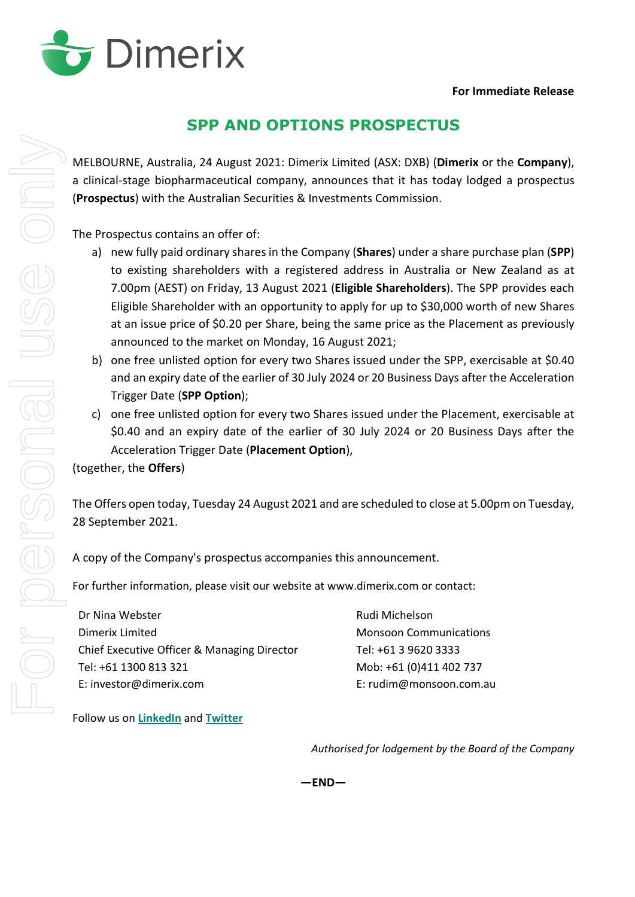

## **SPP AND OPTIONS PROSPECTUS**

MELBOURNE, Australia, 24 August 2021: Dimerix Limited (ASX: DXB) (**Dimerix** or the **Company**), a clinical-stage biopharmaceutical company, announces that it has today lodged a prospectus (**Prospectus**) with the Australian Securities & Investments Commission.

The Prospectus contains an offer of:

- a) new fully paid ordinary shares in the Company (**Shares**) under a share purchase plan (**SPP**) to existing shareholders with a registered address in Australia or New Zealand as at 7.00pm (AEST) on Friday, 13 August 2021 (**Eligible Shareholders**). The SPP provides each Eligible Shareholder with an opportunity to apply for up to \$30,000 worth of new Shares at an issue price of \$0.20 per Share, being the same price as the Placement as previously announced to the market on Monday, 16 August 2021;
- b) one free unlisted option for every two Shares issued under the SPP, exercisable at \$0.40 and an expiry date of the earlier of 30 July 2024 or 20 Business Days after the Acceleration Trigger Date (**SPP Option**);
- c) one free unlisted option for every two Shares issued under the Placement, exercisable at \$0.40 and an expiry date of the earlier of 30 July 2024 or 20 Business Days after the Acceleration Trigger Date (**Placement Option**),

(together, the **Offers**)

The Offers open today, Tuesday 24 August 2021 and are scheduled to close at 5.00pm on Tuesday, 28 September 2021.

A copy of the Company's prospectus accompanies this announcement.

For further information, please visit our website at www.dimerix.com or contact:

Dr Nina Webster Dimerix Limited Chief Executive Officer & Managing Director Tel: +61 1300 813 321 E: investor@dimerix.com

Rudi Michelson Monsoon Communications Tel: +61 3 9620 3333 Mob: +61 (0)411 402 737 E: rudim@monsoon.com.au

Follow us on **[LinkedIn](https://www.linkedin.com/company/dimerix-bioscience)** and **[Twitter](https://twitter.com/dimerixltd)**

*Authorised for lodgement by the Board of the Company*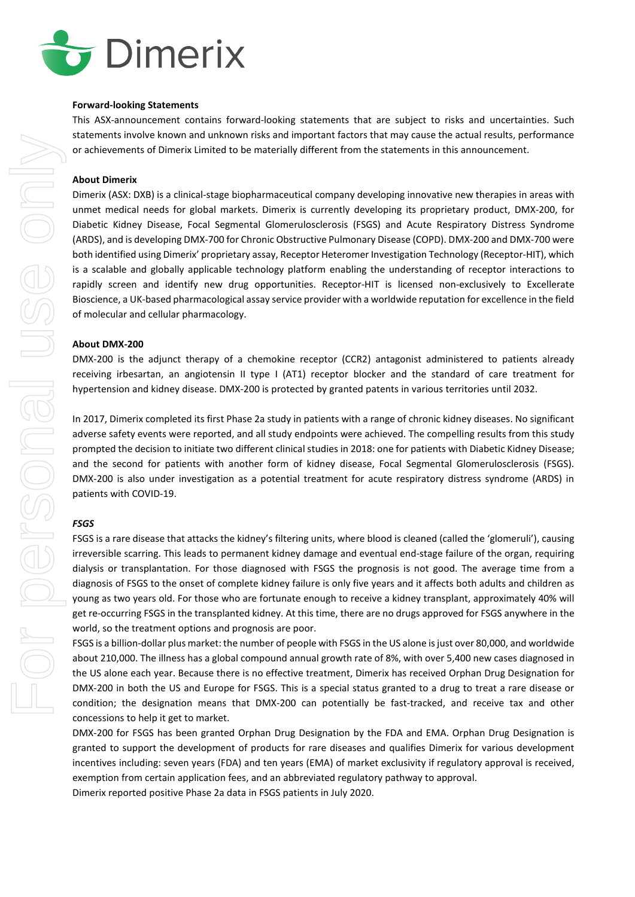

#### **Forward-looking Statements**

This ASX-announcement contains forward-looking statements that are subject to risks and uncertainties. Such statements involve known and unknown risks and important factors that may cause the actual results, performance or achievements of Dimerix Limited to be materially different from the statements in this announcement.

#### **About Dimerix**

Dimerix (ASX: DXB) is a clinical-stage biopharmaceutical company developing innovative new therapies in areas with unmet medical needs for global markets. Dimerix is currently developing its proprietary product, DMX-200, for Diabetic Kidney Disease, Focal Segmental Glomerulosclerosis (FSGS) and Acute Respiratory Distress Syndrome (ARDS), and is developing DMX-700 for Chronic Obstructive Pulmonary Disease (COPD). DMX-200 and DMX-700 were both identified using Dimerix' proprietary assay, Receptor Heteromer Investigation Technology (Receptor-HIT), which is a scalable and globally applicable technology platform enabling the understanding of receptor interactions to rapidly screen and identify new drug opportunities. Receptor-HIT is licensed non-exclusively to Excellerate Bioscience, a UK-based pharmacological assay service provider with a worldwide reputation for excellence in the field of molecular and cellular pharmacology.

#### **About DMX-200**

DMX-200 is the adjunct therapy of a chemokine receptor (CCR2) antagonist administered to patients already receiving irbesartan, an angiotensin II type I (AT1) receptor blocker and the standard of care treatment for hypertension and kidney disease. DMX-200 is protected by granted patents in various territories until 2032.

In 2017, Dimerix completed its first Phase 2a study in patients with a range of chronic kidney diseases. No significant adverse safety events were reported, and all study endpoints were achieved. The compelling results from this study prompted the decision to initiate two different clinical studies in 2018: one for patients with Diabetic Kidney Disease; and the second for patients with another form of kidney disease, Focal Segmental Glomerulosclerosis (FSGS). DMX-200 is also under investigation as a potential treatment for acute respiratory distress syndrome (ARDS) in patients with COVID-19.

#### *FSGS*

FSGS is a rare disease that attacks the kidney's filtering units, where blood is cleaned (called the 'glomeruli'), causing irreversible scarring. This leads to permanent kidney damage and eventual end-stage failure of the organ, requiring dialysis or transplantation. For those diagnosed with FSGS the prognosis is not good. The average time from a diagnosis of FSGS to the onset of complete kidney failure is only five years and it affects both adults and children as young as two years old. For those who are fortunate enough to receive a kidney transplant, approximately 40% will get re-occurring FSGS in the transplanted kidney. At this time, there are no drugs approved for FSGS anywhere in the world, so the treatment options and prognosis are poor.

FSGS is a billion-dollar plus market: the number of people with FSGS in the US alone is just over 80,000, and worldwide about 210,000. The illness has a global compound annual growth rate of 8%, with over 5,400 new cases diagnosed in the US alone each year. Because there is no effective treatment, Dimerix has received Orphan Drug Designation for DMX-200 in both the US and Europe for FSGS. This is a special status granted to a drug to treat a rare disease or condition; the designation means that DMX-200 can potentially be fast-tracked, and receive tax and other concessions to help it get to market.

DMX-200 for FSGS has been granted Orphan Drug Designation by the FDA and EMA. Orphan Drug Designation is granted to support the development of products for rare diseases and qualifies Dimerix for various development incentives including: seven years (FDA) and ten years (EMA) of market exclusivity if regulatory approval is received, exemption from certain application fees, and an abbreviated regulatory pathway to approval.

Dimerix reported positive Phase 2a data in FSGS patients in July 2020.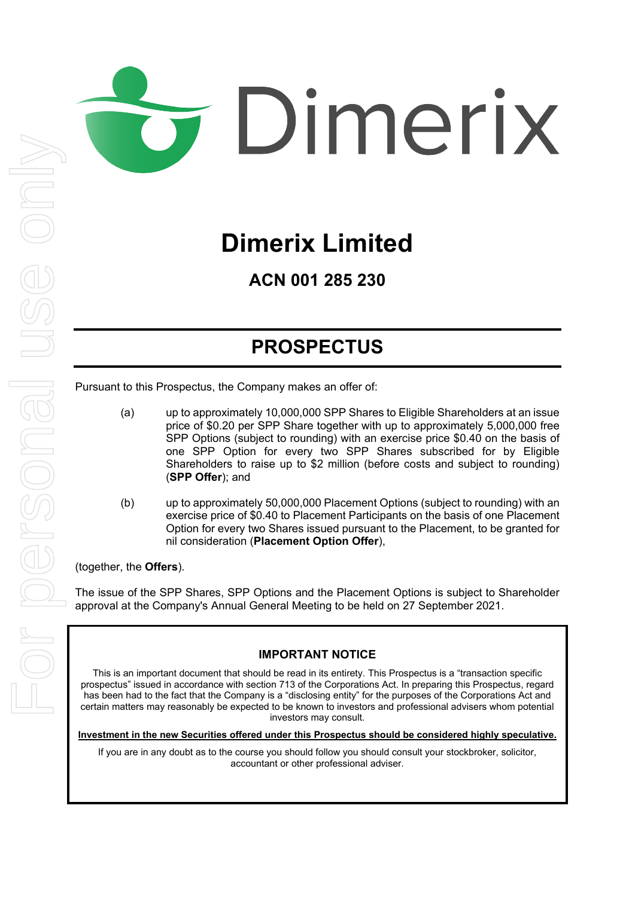# Dimerix

# **Dimerix Limited**

**ACN 001 285 230**

# **PROSPECTUS**

Pursuant to this Prospectus, the Company makes an offer of:

- (a) up to approximately 10,000,000 SPP Shares to Eligible Shareholders at an issue price of \$0.20 per SPP Share together with up to approximately 5,000,000 free SPP Options (subject to rounding) with an exercise price \$0.40 on the basis of one SPP Option for every two SPP Shares subscribed for by Eligible Shareholders to raise up to \$2 million (before costs and subject to rounding) (**SPP Offer**); and
- (b) up to approximately 50,000,000 Placement Options (subject to rounding) with an exercise price of \$0.40 to Placement Participants on the basis of one Placement Option for every two Shares issued pursuant to the Placement, to be granted for nil consideration (**Placement Option Offer**),

(together, the **Offers**).

The issue of the SPP Shares, SPP Options and the Placement Options is subject to Shareholder approval at the Company's Annual General Meeting to be held on 27 September 2021.

#### **IMPORTANT NOTICE**

This is an important document that should be read in its entirety. This Prospectus is a "transaction specific prospectus" issued in accordance with section 713 of the Corporations Act. In preparing this Prospectus, regard has been had to the fact that the Company is a "disclosing entity" for the purposes of the Corporations Act and certain matters may reasonably be expected to be known to investors and professional advisers whom potential investors may consult.

**Investment in the new Securities offered under this Prospectus should be considered highly speculative.**

If you are in any doubt as to the course you should follow you should consult your stockbroker, solicitor, accountant or other professional adviser.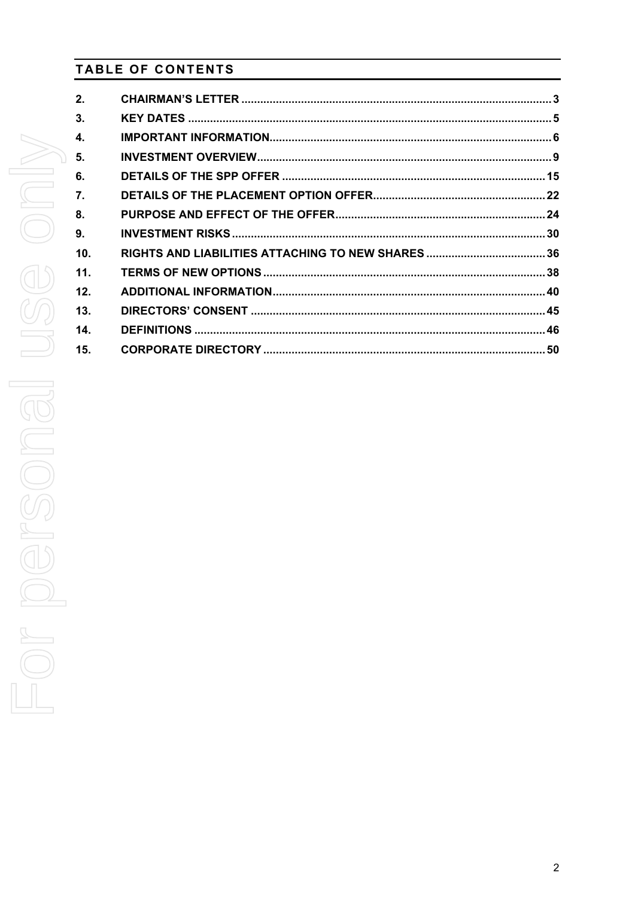## **TABLE OF CONTENTS**

| 2.  |  |
|-----|--|
| 3.  |  |
| 4.  |  |
| 5.  |  |
| 6.  |  |
| 7.  |  |
| 8.  |  |
| 9.  |  |
| 10. |  |
| 11. |  |
| 12. |  |
| 13. |  |
| 14. |  |
| 15. |  |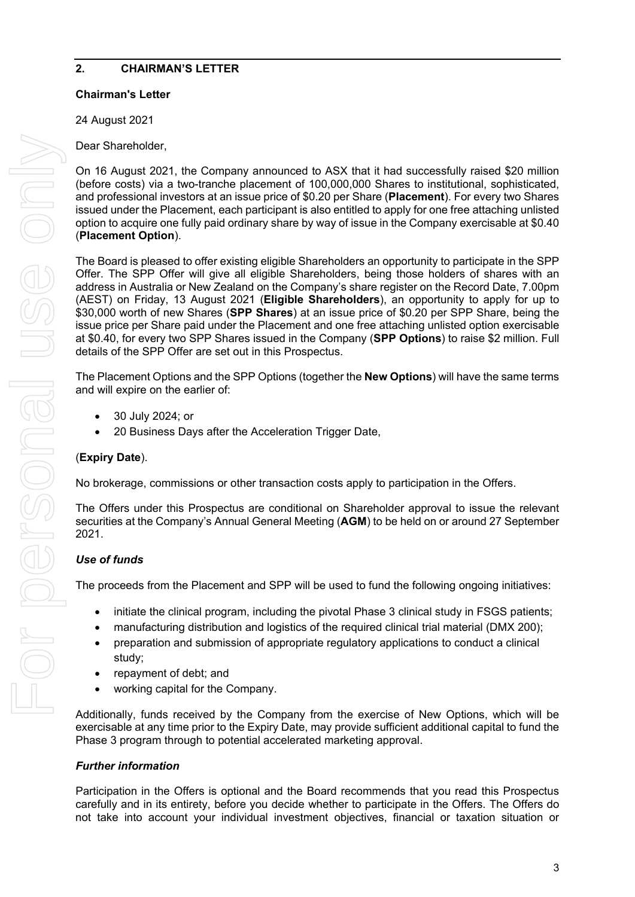#### <span id="page-4-0"></span>**2. CHAIRMAN'S LETTER**

#### **Chairman's Letter**

24 August 2021

Dear Shareholder,

On 16 August 2021, the Company announced to ASX that it had successfully raised \$20 million (before costs) via a two-tranche placement of 100,000,000 Shares to institutional, sophisticated, and professional investors at an issue price of \$0.20 per Share (**Placement**). For every two Shares issued under the Placement, each participant is also entitled to apply for one free attaching unlisted option to acquire one fully paid ordinary share by way of issue in the Company exercisable at \$0.40 (**Placement Option**).

The Board is pleased to offer existing eligible Shareholders an opportunity to participate in the SPP Offer. The SPP Offer will give all eligible Shareholders, being those holders of shares with an address in Australia or New Zealand on the Company's share register on the Record Date, 7.00pm (AEST) on Friday, 13 August 2021 (**Eligible Shareholders**), an opportunity to apply for up to \$30,000 worth of new Shares (**SPP Shares**) at an issue price of \$0.20 per SPP Share, being the issue price per Share paid under the Placement and one free attaching unlisted option exercisable at \$0.40, for every two SPP Shares issued in the Company (**SPP Options**) to raise \$2 million. Full details of the SPP Offer are set out in this Prospectus.

The Placement Options and the SPP Options (together the **New Options**) will have the same terms and will expire on the earlier of:

- 30 July 2024; or
- 20 Business Days after the Acceleration Trigger Date,

#### (**Expiry Date**).

No brokerage, commissions or other transaction costs apply to participation in the Offers.

The Offers under this Prospectus are conditional on Shareholder approval to issue the relevant securities at the Company's Annual General Meeting (**AGM**) to be held on or around 27 September 2021.

#### *Use of funds*

The proceeds from the Placement and SPP will be used to fund the following ongoing initiatives:

- initiate the clinical program, including the pivotal Phase 3 clinical study in FSGS patients;
- manufacturing distribution and logistics of the required clinical trial material (DMX 200);
- preparation and submission of appropriate regulatory applications to conduct a clinical study;
- repayment of debt; and
- working capital for the Company.

Additionally, funds received by the Company from the exercise of New Options, which will be exercisable at any time prior to the Expiry Date, may provide sufficient additional capital to fund the Phase 3 program through to potential accelerated marketing approval.

#### *Further information*

Participation in the Offers is optional and the Board recommends that you read this Prospectus carefully and in its entirety, before you decide whether to participate in the Offers. The Offers do not take into account your individual investment objectives, financial or taxation situation or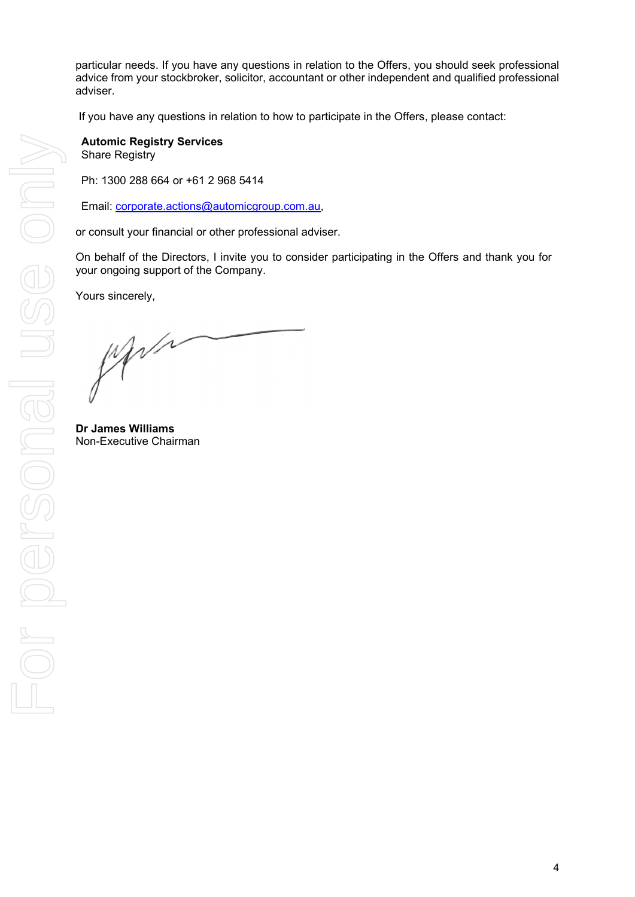particular needs. If you have any questions in relation to the Offers, you should seek professional advice from your stockbroker, solicitor, accountant or other independent and qualified professional adviser.

If you have any questions in relation to how to participate in the Offers, please contact:

**Automic Registry Services** Share Registry

Ph: 1300 288 664 or +61 2 968 5414

Email: [corporate.actions@automicgroup.com.au,](mailto:corporate.actions@automicgroup.com.au)

or consult your financial or other professional adviser.

On behalf of the Directors, I invite you to consider participating in the Offers and thank you for your ongoing support of the Company.

Yours sincerely,

What

**Dr James Williams** Non-Executive Chairman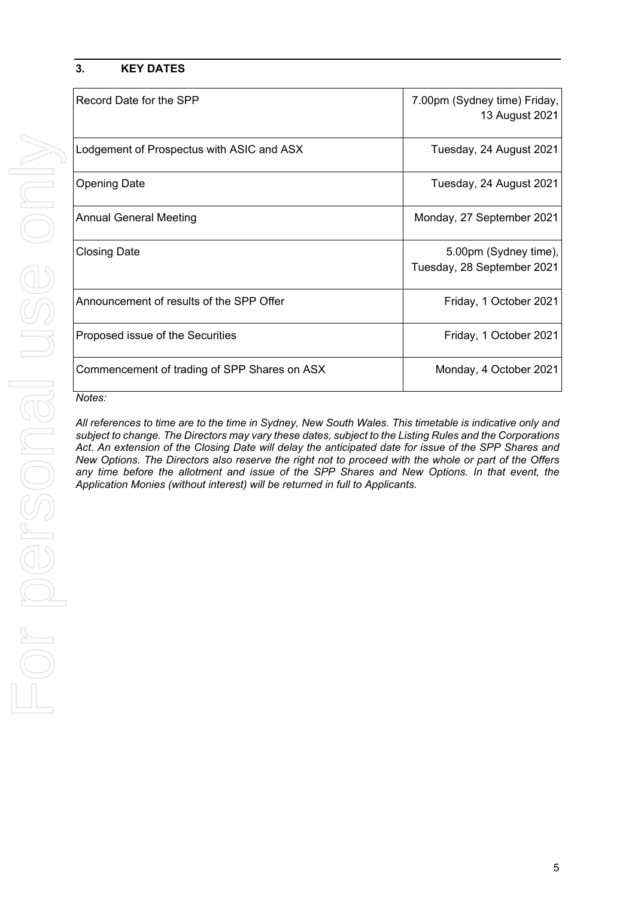#### <span id="page-6-0"></span>**3. KEY DATES**

| Record Date for the SPP                      | 7.00pm (Sydney time) Friday,<br>13 August 2021      |
|----------------------------------------------|-----------------------------------------------------|
| Lodgement of Prospectus with ASIC and ASX    | Tuesday, 24 August 2021                             |
| <b>Opening Date</b>                          | Tuesday, 24 August 2021                             |
| <b>Annual General Meeting</b>                | Monday, 27 September 2021                           |
| <b>Closing Date</b>                          | 5.00pm (Sydney time),<br>Tuesday, 28 September 2021 |
| Announcement of results of the SPP Offer     | Friday, 1 October 2021                              |
| Proposed issue of the Securities             | Friday, 1 October 2021                              |
| Commencement of trading of SPP Shares on ASX | Monday, 4 October 2021                              |

#### *Notes:*

*All references to time are to the time in Sydney, New South Wales. This timetable is indicative only and subject to change. The Directors may vary these dates, subject to the Listing Rules and the Corporations Act. An extension of the Closing Date will delay the anticipated date for issue of the SPP Shares and New Options. The Directors also reserve the right not to proceed with the whole or part of the Offers any time before the allotment and issue of the SPP Shares and New Options. In that event, the Application Monies (without interest) will be returned in full to Applicants.*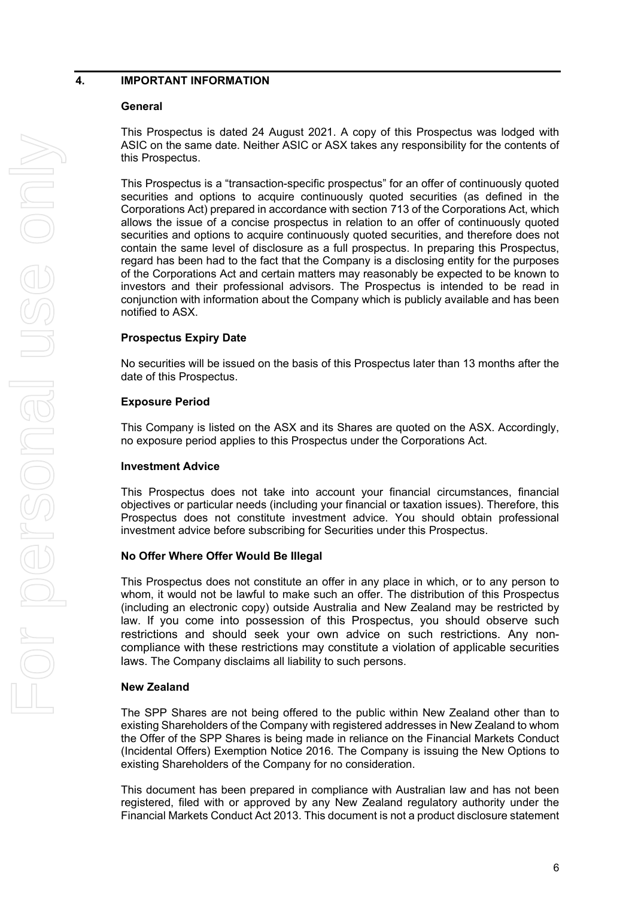#### **General**

This Prospectus is dated 24 August 2021. A copy of this Prospectus was lodged with ASIC on the same date. Neither ASIC or ASX takes any responsibility for the contents of this Prospectus.

This Prospectus is a "transaction-specific prospectus" for an offer of continuously quoted securities and options to acquire continuously quoted securities (as defined in the Corporations Act) prepared in accordance with section 713 of the Corporations Act, which allows the issue of a concise prospectus in relation to an offer of continuously quoted securities and options to acquire continuously quoted securities, and therefore does not contain the same level of disclosure as a full prospectus. In preparing this Prospectus, regard has been had to the fact that the Company is a disclosing entity for the purposes of the Corporations Act and certain matters may reasonably be expected to be known to investors and their professional advisors. The Prospectus is intended to be read in conjunction with information about the Company which is publicly available and has been notified to ASX.

#### **Prospectus Expiry Date**

No securities will be issued on the basis of this Prospectus later than 13 months after the date of this Prospectus.

#### **Exposure Period**

This Company is listed on the ASX and its Shares are quoted on the ASX. Accordingly, no exposure period applies to this Prospectus under the Corporations Act.

#### **Investment Advice**

This Prospectus does not take into account your financial circumstances, financial objectives or particular needs (including your financial or taxation issues). Therefore, this Prospectus does not constitute investment advice. You should obtain professional investment advice before subscribing for Securities under this Prospectus.

#### **No Offer Where Offer Would Be Illegal**

This Prospectus does not constitute an offer in any place in which, or to any person to whom, it would not be lawful to make such an offer. The distribution of this Prospectus (including an electronic copy) outside Australia and New Zealand may be restricted by law. If you come into possession of this Prospectus, you should observe such restrictions and should seek your own advice on such restrictions. Any noncompliance with these restrictions may constitute a violation of applicable securities laws. The Company disclaims all liability to such persons.

#### **New Zealand**

The SPP Shares are not being offered to the public within New Zealand other than to existing Shareholders of the Company with registered addresses in New Zealand to whom the Offer of the SPP Shares is being made in reliance on the Financial Markets Conduct (Incidental Offers) Exemption Notice 2016. The Company is issuing the New Options to existing Shareholders of the Company for no consideration.

This document has been prepared in compliance with Australian law and has not been registered, filed with or approved by any New Zealand regulatory authority under the Financial Markets Conduct Act 2013. This document is not a product disclosure statement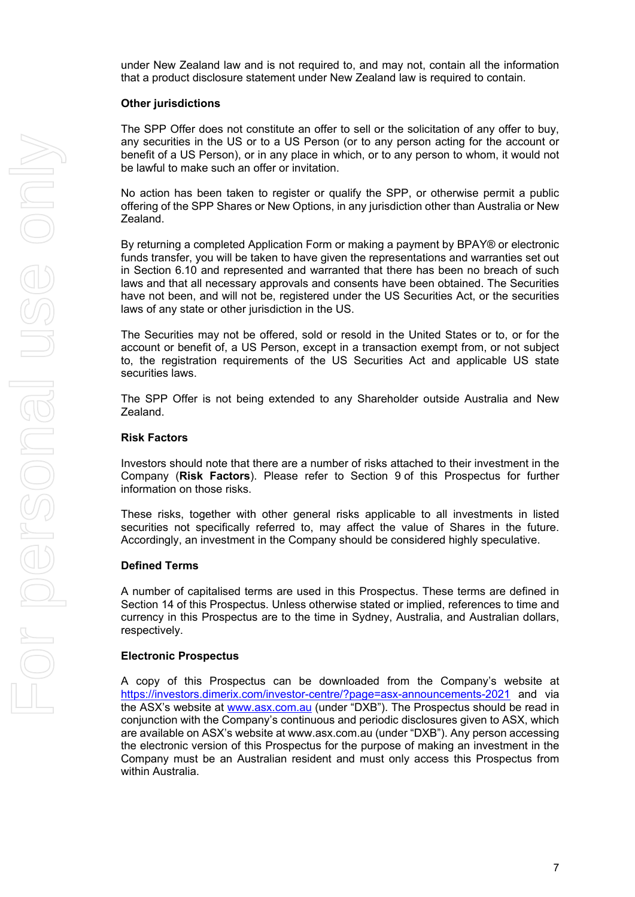under New Zealand law and is not required to, and may not, contain all the information that a product disclosure statement under New Zealand law is required to contain.

#### **Other jurisdictions**

The SPP Offer does not constitute an offer to sell or the solicitation of any offer to buy, any securities in the US or to a US Person (or to any person acting for the account or benefit of a US Person), or in any place in which, or to any person to whom, it would not be lawful to make such an offer or invitation.

No action has been taken to register or qualify the SPP, or otherwise permit a public offering of the SPP Shares or New Options, in any jurisdiction other than Australia or New Zealand.

By returning a completed Application Form or making a payment by BPAY® or electronic funds transfer, you will be taken to have given the representations and warranties set out in Section [6.10](#page-19-0) and represented and warranted that there has been no breach of such laws and that all necessary approvals and consents have been obtained. The Securities have not been, and will not be, registered under the US Securities Act, or the securities laws of any state or other jurisdiction in the US.

The Securities may not be offered, sold or resold in the United States or to, or for the account or benefit of, a US Person, except in a transaction exempt from, or not subject to, the registration requirements of the US Securities Act and applicable US state securities laws.

The SPP Offer is not being extended to any Shareholder outside Australia and New Zealand.

#### **Risk Factors**

Investors should note that there are a number of risks attached to their investment in the Company (**Risk Factors**). Please refer to Section [9](#page-31-0) of this Prospectus for further information on those risks.

These risks, together with other general risks applicable to all investments in listed securities not specifically referred to, may affect the value of Shares in the future. Accordingly, an investment in the Company should be considered highly speculative.

#### **Defined Terms**

A number of capitalised terms are used in this Prospectus. These terms are defined in Section [14](#page-47-0) of this Prospectus. Unless otherwise stated or implied, references to time and currency in this Prospectus are to the time in Sydney, Australia, and Australian dollars, respectively.

#### **Electronic Prospectus**

A copy of this Prospectus can be downloaded from the Company's website at <https://investors.dimerix.com/investor-centre/?page=asx-announcements-2021> and via the ASX's website at [www.asx.com.au](http://www.asx.com.au/) (under "DXB"). The Prospectus should be read in conjunction with the Company's continuous and periodic disclosures given to ASX, which are available on ASX's website at www.asx.com.au (under "DXB"). Any person accessing the electronic version of this Prospectus for the purpose of making an investment in the Company must be an Australian resident and must only access this Prospectus from within Australia.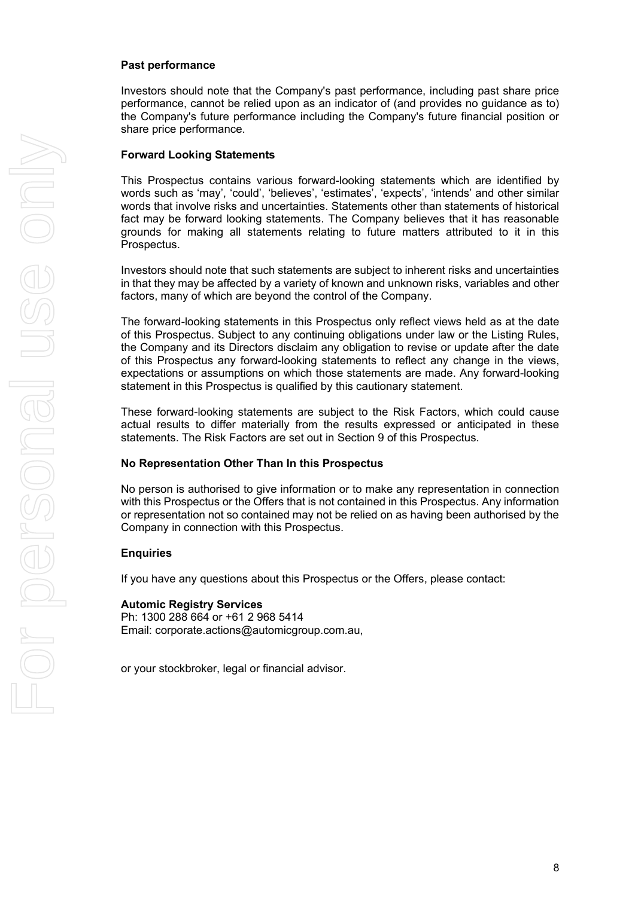#### **Past performance**

Investors should note that the Company's past performance, including past share price performance, cannot be relied upon as an indicator of (and provides no guidance as to) the Company's future performance including the Company's future financial position or share price performance.

#### **Forward Looking Statements**

This Prospectus contains various forward-looking statements which are identified by words such as 'may', 'could', 'believes', 'estimates', 'expects', 'intends' and other similar words that involve risks and uncertainties. Statements other than statements of historical fact may be forward looking statements. The Company believes that it has reasonable grounds for making all statements relating to future matters attributed to it in this Prospectus.

Investors should note that such statements are subject to inherent risks and uncertainties in that they may be affected by a variety of known and unknown risks, variables and other factors, many of which are beyond the control of the Company.

The forward-looking statements in this Prospectus only reflect views held as at the date of this Prospectus. Subject to any continuing obligations under law or the Listing Rules, the Company and its Directors disclaim any obligation to revise or update after the date of this Prospectus any forward-looking statements to reflect any change in the views, expectations or assumptions on which those statements are made. Any forward-looking statement in this Prospectus is qualified by this cautionary statement.

These forward-looking statements are subject to the Risk Factors, which could cause actual results to differ materially from the results expressed or anticipated in these statements. The Risk Factors are set out in Section [9](#page-31-0) of this Prospectus.

#### **No Representation Other Than In this Prospectus**

No person is authorised to give information or to make any representation in connection with this Prospectus or the Offers that is not contained in this Prospectus. Any information or representation not so contained may not be relied on as having been authorised by the Company in connection with this Prospectus.

#### **Enquiries**

If you have any questions about this Prospectus or the Offers, please contact:

#### **Automic Registry Services**

Ph: 1300 288 664 or +61 2 968 5414 Email: corporate.actions@automicgroup.com.au,

or your stockbroker, legal or financial advisor.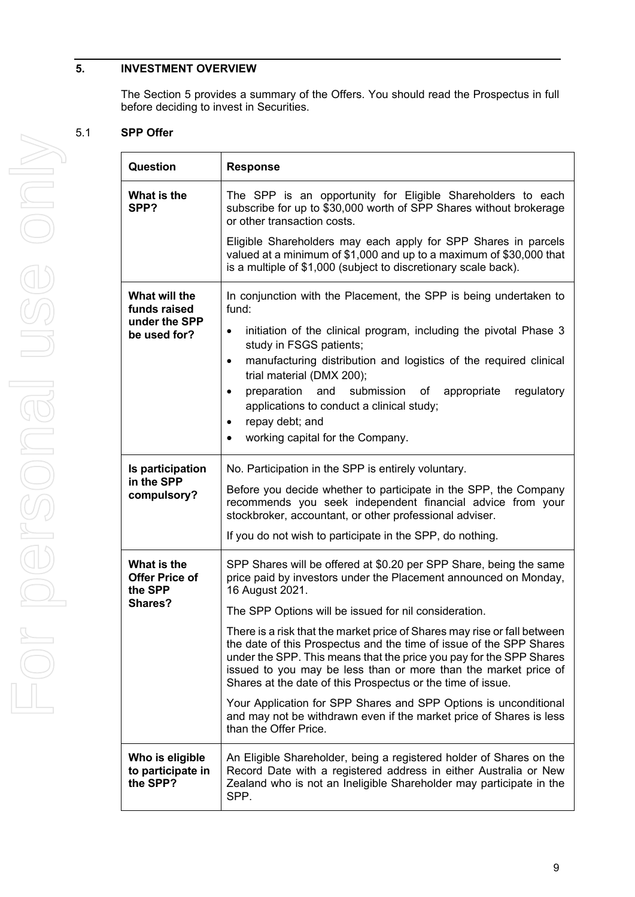#### <span id="page-10-0"></span>**5. INVESTMENT OVERVIEW**

The Section [5](#page-10-0) provides a summary of the Offers. You should read the Prospectus in full before deciding to invest in Securities.

#### 5.1 **SPP Offer**

| Question                                                       | <b>Response</b>                                                                                                                                                                                                                                                                                                                                                                                                                                                                                                                                                                                                                                                                                                                                    |  |  |
|----------------------------------------------------------------|----------------------------------------------------------------------------------------------------------------------------------------------------------------------------------------------------------------------------------------------------------------------------------------------------------------------------------------------------------------------------------------------------------------------------------------------------------------------------------------------------------------------------------------------------------------------------------------------------------------------------------------------------------------------------------------------------------------------------------------------------|--|--|
| What is the<br>SPP?                                            | The SPP is an opportunity for Eligible Shareholders to each<br>subscribe for up to \$30,000 worth of SPP Shares without brokerage<br>or other transaction costs.                                                                                                                                                                                                                                                                                                                                                                                                                                                                                                                                                                                   |  |  |
|                                                                | Eligible Shareholders may each apply for SPP Shares in parcels<br>valued at a minimum of \$1,000 and up to a maximum of \$30,000 that<br>is a multiple of \$1,000 (subject to discretionary scale back).                                                                                                                                                                                                                                                                                                                                                                                                                                                                                                                                           |  |  |
| What will the<br>funds raised<br>under the SPP<br>be used for? | In conjunction with the Placement, the SPP is being undertaken to<br>fund:<br>initiation of the clinical program, including the pivotal Phase 3<br>$\bullet$<br>study in FSGS patients;<br>manufacturing distribution and logistics of the required clinical<br>$\bullet$<br>trial material (DMX 200);<br>preparation and submission of appropriate<br>regulatory<br>$\bullet$<br>applications to conduct a clinical study;<br>repay debt; and<br>$\bullet$<br>working capital for the Company.                                                                                                                                                                                                                                                    |  |  |
| Is participation<br>in the SPP<br>compulsory?                  | No. Participation in the SPP is entirely voluntary.<br>Before you decide whether to participate in the SPP, the Company<br>recommends you seek independent financial advice from your<br>stockbroker, accountant, or other professional adviser.<br>If you do not wish to participate in the SPP, do nothing.                                                                                                                                                                                                                                                                                                                                                                                                                                      |  |  |
| What is the<br>Offer Price of<br>the SPP<br>Shares?            | SPP Shares will be offered at \$0.20 per SPP Share, being the same<br>price paid by investors under the Placement announced on Monday,<br>16 August 2021.<br>The SPP Options will be issued for nil consideration.<br>There is a risk that the market price of Shares may rise or fall between<br>the date of this Prospectus and the time of issue of the SPP Shares<br>under the SPP. This means that the price you pay for the SPP Shares<br>issued to you may be less than or more than the market price of<br>Shares at the date of this Prospectus or the time of issue.<br>Your Application for SPP Shares and SPP Options is unconditional<br>and may not be withdrawn even if the market price of Shares is less<br>than the Offer Price. |  |  |
| Who is eligible<br>to participate in<br>the SPP?               | An Eligible Shareholder, being a registered holder of Shares on the<br>Record Date with a registered address in either Australia or New<br>Zealand who is not an Ineligible Shareholder may participate in the<br>SPP.                                                                                                                                                                                                                                                                                                                                                                                                                                                                                                                             |  |  |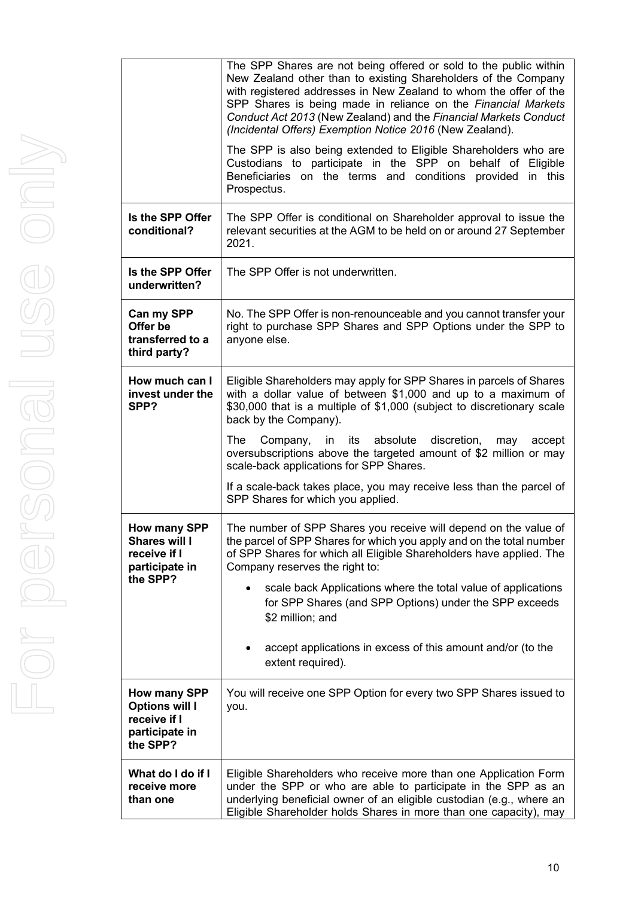|      |                                                                                     | The SPP Shares are not being offered or sold to the public within<br>New Zealand other than to existing Shareholders of the Company<br>with registered addresses in New Zealand to whom the offer of the<br>SPP Shares is being made in reliance on the Financial Markets<br>Conduct Act 2013 (New Zealand) and the Financial Markets Conduct<br>(Incidental Offers) Exemption Notice 2016 (New Zealand). |
|------|-------------------------------------------------------------------------------------|-----------------------------------------------------------------------------------------------------------------------------------------------------------------------------------------------------------------------------------------------------------------------------------------------------------------------------------------------------------------------------------------------------------|
| Only |                                                                                     | The SPP is also being extended to Eligible Shareholders who are<br>Custodians to participate in the SPP on behalf of Eligible<br>Beneficiaries on the terms and conditions provided in this<br>Prospectus.                                                                                                                                                                                                |
|      | Is the SPP Offer<br>conditional?                                                    | The SPP Offer is conditional on Shareholder approval to issue the<br>relevant securities at the AGM to be held on or around 27 September<br>2021.                                                                                                                                                                                                                                                         |
|      | Is the SPP Offer<br>underwritten?                                                   | The SPP Offer is not underwritten.                                                                                                                                                                                                                                                                                                                                                                        |
| USS  | Can my SPP<br>Offer be<br>transferred to a<br>third party?                          | No. The SPP Offer is non-renounceable and you cannot transfer your<br>right to purchase SPP Shares and SPP Options under the SPP to<br>anyone else.                                                                                                                                                                                                                                                       |
|      | How much can I<br>invest under the<br>SPP?                                          | Eligible Shareholders may apply for SPP Shares in parcels of Shares<br>with a dollar value of between \$1,000 and up to a maximum of<br>\$30,000 that is a multiple of \$1,000 (subject to discretionary scale<br>back by the Company).                                                                                                                                                                   |
| Ona  |                                                                                     | absolute<br>discretion,<br>The Company,<br>in its<br>may<br>accept<br>oversubscriptions above the targeted amount of \$2 million or may<br>scale-back applications for SPP Shares.                                                                                                                                                                                                                        |
|      |                                                                                     | If a scale-back takes place, you may receive less than the parcel of<br>SPP Shares for which you applied.                                                                                                                                                                                                                                                                                                 |
|      | How many SPP<br>Shares will I<br>receive if I<br>participate in                     | The number of SPP Shares you receive will depend on the value of<br>the parcel of SPP Shares for which you apply and on the total number<br>of SPP Shares for which all Eligible Shareholders have applied. The<br>Company reserves the right to:                                                                                                                                                         |
|      | the SPP?                                                                            | scale back Applications where the total value of applications<br>$\bullet$<br>for SPP Shares (and SPP Options) under the SPP exceeds<br>\$2 million; and                                                                                                                                                                                                                                                  |
|      |                                                                                     | accept applications in excess of this amount and/or (to the<br>extent required).                                                                                                                                                                                                                                                                                                                          |
|      | How many SPP<br><b>Options will I</b><br>receive if I<br>participate in<br>the SPP? | You will receive one SPP Option for every two SPP Shares issued to<br>you.                                                                                                                                                                                                                                                                                                                                |
|      |                                                                                     |                                                                                                                                                                                                                                                                                                                                                                                                           |

|                                                                                     | The SPP is also being extended to Eligible Shareholders who are<br>Custodians to participate in the SPP on behalf of Eligible<br>Beneficiaries on the terms and conditions provided in this<br>Prospectus.                                                                     |  |  |
|-------------------------------------------------------------------------------------|--------------------------------------------------------------------------------------------------------------------------------------------------------------------------------------------------------------------------------------------------------------------------------|--|--|
| Is the SPP Offer<br>conditional?                                                    | The SPP Offer is conditional on Shareholder approval to issue the<br>relevant securities at the AGM to be held on or around 27 September<br>2021.                                                                                                                              |  |  |
| Is the SPP Offer<br>underwritten?                                                   | The SPP Offer is not underwritten.                                                                                                                                                                                                                                             |  |  |
| Can my SPP<br>Offer be<br>transferred to a<br>third party?                          | No. The SPP Offer is non-renounceable and you cannot transfer your<br>right to purchase SPP Shares and SPP Options under the SPP to<br>anyone else.                                                                                                                            |  |  |
| How much can I<br>invest under the<br>SPP?                                          | Eligible Shareholders may apply for SPP Shares in parcels of Shares<br>with a dollar value of between \$1,000 and up to a maximum of<br>\$30,000 that is a multiple of \$1,000 (subject to discretionary scale<br>back by the Company).                                        |  |  |
|                                                                                     | absolute<br>discretion,<br>The<br>Company,<br>its<br>accept<br>in<br>may<br>oversubscriptions above the targeted amount of \$2 million or may<br>scale-back applications for SPP Shares.                                                                                       |  |  |
|                                                                                     | If a scale-back takes place, you may receive less than the parcel of<br>SPP Shares for which you applied.                                                                                                                                                                      |  |  |
| <b>How many SPP</b><br><b>Shares will I</b><br>receive if I<br>participate in       | The number of SPP Shares you receive will depend on the value of<br>the parcel of SPP Shares for which you apply and on the total number<br>of SPP Shares for which all Eligible Shareholders have applied. The<br>Company reserves the right to:                              |  |  |
| the SPP?                                                                            | scale back Applications where the total value of applications<br>for SPP Shares (and SPP Options) under the SPP exceeds<br>\$2 million; and                                                                                                                                    |  |  |
|                                                                                     | accept applications in excess of this amount and/or (to the<br>extent required).                                                                                                                                                                                               |  |  |
| How many SPP<br><b>Options will I</b><br>receive if I<br>participate in<br>the SPP? | You will receive one SPP Option for every two SPP Shares issued to<br>you.                                                                                                                                                                                                     |  |  |
| What do I do if I<br>receive more<br>than one                                       | Eligible Shareholders who receive more than one Application Form<br>under the SPP or who are able to participate in the SPP as an<br>underlying beneficial owner of an eligible custodian (e.g., where an<br>Eligible Shareholder holds Shares in more than one capacity), may |  |  |
|                                                                                     |                                                                                                                                                                                                                                                                                |  |  |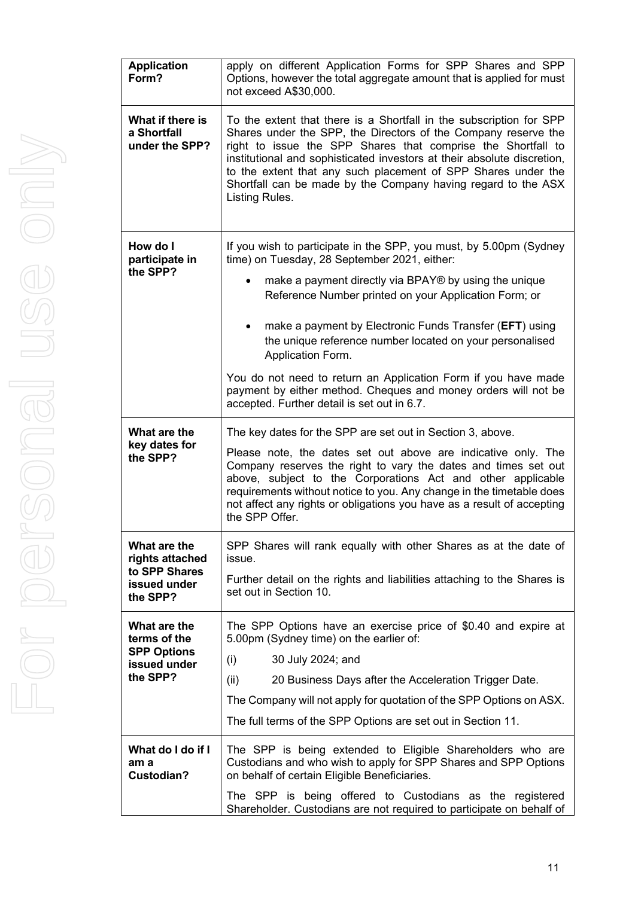| <b>Application</b><br>Form?                                                    | apply on different Application Forms for SPP Shares and SPP<br>Options, however the total aggregate amount that is applied for must<br>not exceed A\$30,000.                                                                                                                                                                                                                                                                         |  |
|--------------------------------------------------------------------------------|--------------------------------------------------------------------------------------------------------------------------------------------------------------------------------------------------------------------------------------------------------------------------------------------------------------------------------------------------------------------------------------------------------------------------------------|--|
| What if there is<br>a Shortfall<br>under the SPP?                              | To the extent that there is a Shortfall in the subscription for SPP<br>Shares under the SPP, the Directors of the Company reserve the<br>right to issue the SPP Shares that comprise the Shortfall to<br>institutional and sophisticated investors at their absolute discretion,<br>to the extent that any such placement of SPP Shares under the<br>Shortfall can be made by the Company having regard to the ASX<br>Listing Rules. |  |
| How do I<br>participate in<br>the SPP?                                         | If you wish to participate in the SPP, you must, by 5.00pm (Sydney<br>time) on Tuesday, 28 September 2021, either:<br>make a payment directly via BPAY® by using the unique<br>Reference Number printed on your Application Form; or                                                                                                                                                                                                 |  |
|                                                                                | make a payment by Electronic Funds Transfer (EFT) using<br>the unique reference number located on your personalised<br>Application Form.<br>You do not need to return an Application Form if you have made                                                                                                                                                                                                                           |  |
|                                                                                | payment by either method. Cheques and money orders will not be<br>accepted. Further detail is set out in 6.7.                                                                                                                                                                                                                                                                                                                        |  |
| What are the<br>key dates for<br>the SPP?                                      | The key dates for the SPP are set out in Section 3, above.<br>Please note, the dates set out above are indicative only. The<br>Company reserves the right to vary the dates and times set out<br>above, subject to the Corporations Act and other applicable<br>requirements without notice to you. Any change in the timetable does<br>not affect any rights or obligations you have as a result of accepting<br>the SPP Offer.     |  |
| What are the<br>rights attached<br>to SPP Shares<br>issued under<br>the SPP?   | SPP Shares will rank equally with other Shares as at the date of<br>issue.<br>Further detail on the rights and liabilities attaching to the Shares is<br>set out in Section 10.                                                                                                                                                                                                                                                      |  |
| What are the<br>terms of the<br><b>SPP Options</b><br>issued under<br>the SPP? | The SPP Options have an exercise price of \$0.40 and expire at<br>5.00pm (Sydney time) on the earlier of:<br>(i)<br>30 July 2024; and<br>(ii)<br>20 Business Days after the Acceleration Trigger Date.<br>The Company will not apply for quotation of the SPP Options on ASX.<br>The full terms of the SPP Options are set out in Section 11.                                                                                        |  |
| What do I do if I<br>am a<br><b>Custodian?</b>                                 | The SPP is being extended to Eligible Shareholders who are<br>Custodians and who wish to apply for SPP Shares and SPP Options<br>on behalf of certain Eligible Beneficiaries.<br>The SPP is being offered to Custodians as the registered                                                                                                                                                                                            |  |
|                                                                                | Shareholder. Custodians are not required to participate on behalf of                                                                                                                                                                                                                                                                                                                                                                 |  |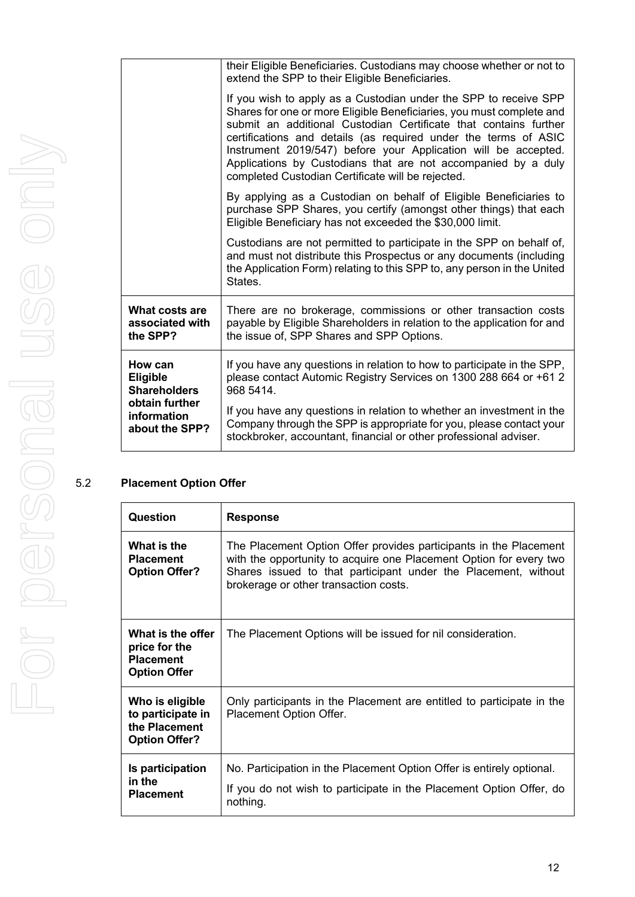|                                                 | their Eligible Beneficiaries. Custodians may choose whether or not to<br>extend the SPP to their Eligible Beneficiaries.                                                                                                                                                                                                                                                                                                                                                |
|-------------------------------------------------|-------------------------------------------------------------------------------------------------------------------------------------------------------------------------------------------------------------------------------------------------------------------------------------------------------------------------------------------------------------------------------------------------------------------------------------------------------------------------|
|                                                 | If you wish to apply as a Custodian under the SPP to receive SPP<br>Shares for one or more Eligible Beneficiaries, you must complete and<br>submit an additional Custodian Certificate that contains further<br>certifications and details (as required under the terms of ASIC<br>Instrument 2019/547) before your Application will be accepted.<br>Applications by Custodians that are not accompanied by a duly<br>completed Custodian Certificate will be rejected. |
|                                                 | By applying as a Custodian on behalf of Eligible Beneficiaries to<br>purchase SPP Shares, you certify (amongst other things) that each<br>Eligible Beneficiary has not exceeded the \$30,000 limit.                                                                                                                                                                                                                                                                     |
|                                                 | Custodians are not permitted to participate in the SPP on behalf of,<br>and must not distribute this Prospectus or any documents (including<br>the Application Form) relating to this SPP to, any person in the United<br>States.                                                                                                                                                                                                                                       |
| What costs are<br>associated with<br>the SPP?   | There are no brokerage, commissions or other transaction costs<br>payable by Eligible Shareholders in relation to the application for and<br>the issue of, SPP Shares and SPP Options.                                                                                                                                                                                                                                                                                  |
| How can<br>Eligible<br><b>Shareholders</b>      | If you have any questions in relation to how to participate in the SPP,<br>please contact Automic Registry Services on 1300 288 664 or +61 2<br>968 5414.                                                                                                                                                                                                                                                                                                               |
| obtain further<br>information<br>about the SPP? | If you have any questions in relation to whether an investment in the<br>Company through the SPP is appropriate for you, please contact your<br>stockbroker, accountant, financial or other professional adviser.                                                                                                                                                                                                                                                       |
|                                                 |                                                                                                                                                                                                                                                                                                                                                                                                                                                                         |

#### 5.2 **Placement Option Offer**

| Question                                                                      | <b>Response</b>                                                                                                                                                                                                                                    |
|-------------------------------------------------------------------------------|----------------------------------------------------------------------------------------------------------------------------------------------------------------------------------------------------------------------------------------------------|
| What is the<br><b>Placement</b><br><b>Option Offer?</b>                       | The Placement Option Offer provides participants in the Placement<br>with the opportunity to acquire one Placement Option for every two<br>Shares issued to that participant under the Placement, without<br>brokerage or other transaction costs. |
| What is the offer<br>price for the<br><b>Placement</b><br><b>Option Offer</b> | The Placement Options will be issued for nil consideration.                                                                                                                                                                                        |
| Who is eligible<br>to participate in<br>the Placement<br><b>Option Offer?</b> | Only participants in the Placement are entitled to participate in the<br>Placement Option Offer.                                                                                                                                                   |
| Is participation<br>in the<br><b>Placement</b>                                | No. Participation in the Placement Option Offer is entirely optional.<br>If you do not wish to participate in the Placement Option Offer, do<br>nothing.                                                                                           |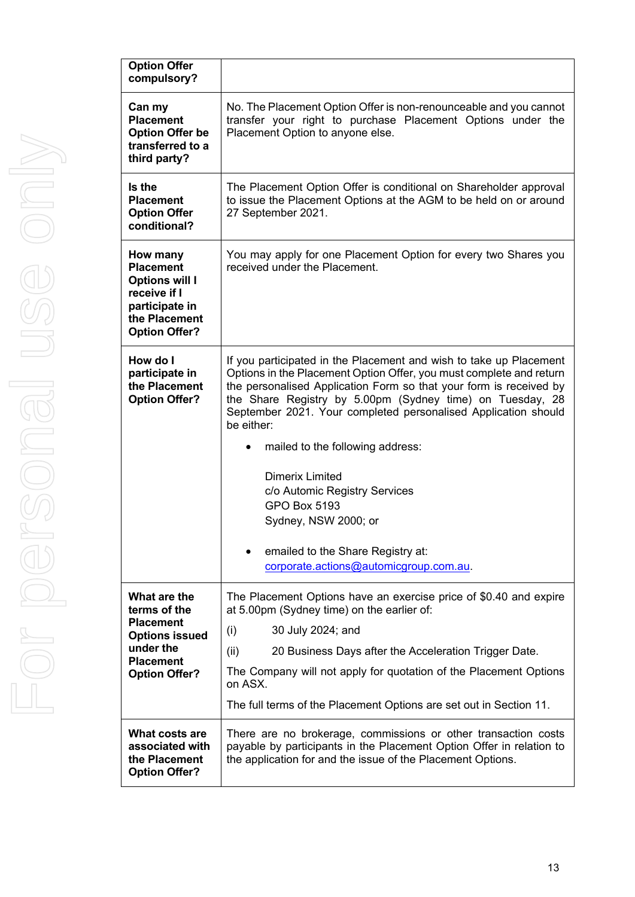| <b>Option Offer</b><br>compulsory?                                                                                                 |                                                                                                                                                                                                                                                                                                                                                                                                                                                                                                                                                                                           |
|------------------------------------------------------------------------------------------------------------------------------------|-------------------------------------------------------------------------------------------------------------------------------------------------------------------------------------------------------------------------------------------------------------------------------------------------------------------------------------------------------------------------------------------------------------------------------------------------------------------------------------------------------------------------------------------------------------------------------------------|
| Can my<br><b>Placement</b><br><b>Option Offer be</b><br>transferred to a<br>third party?                                           | No. The Placement Option Offer is non-renounceable and you cannot<br>transfer your right to purchase Placement Options under the<br>Placement Option to anyone else.                                                                                                                                                                                                                                                                                                                                                                                                                      |
| Is the<br><b>Placement</b><br><b>Option Offer</b><br>conditional?                                                                  | The Placement Option Offer is conditional on Shareholder approval<br>to issue the Placement Options at the AGM to be held on or around<br>27 September 2021.                                                                                                                                                                                                                                                                                                                                                                                                                              |
| How many<br><b>Placement</b><br><b>Options will I</b><br>receive if I<br>participate in<br>the Placement<br><b>Option Offer?</b>   | You may apply for one Placement Option for every two Shares you<br>received under the Placement.                                                                                                                                                                                                                                                                                                                                                                                                                                                                                          |
| How do I<br>participate in<br>the Placement<br><b>Option Offer?</b>                                                                | If you participated in the Placement and wish to take up Placement<br>Options in the Placement Option Offer, you must complete and return<br>the personalised Application Form so that your form is received by<br>the Share Registry by 5.00pm (Sydney time) on Tuesday, 28<br>September 2021. Your completed personalised Application should<br>be either:<br>mailed to the following address:<br><b>Dimerix Limited</b><br>c/o Automic Registry Services<br><b>GPO Box 5193</b><br>Sydney, NSW 2000; or<br>emailed to the Share Registry at:<br>corporate.actions@automicgroup.com.au. |
| What are the<br>terms of the<br><b>Placement</b><br><b>Options issued</b><br>under the<br><b>Placement</b><br><b>Option Offer?</b> | The Placement Options have an exercise price of \$0.40 and expire<br>at 5.00pm (Sydney time) on the earlier of:<br>(i)<br>30 July 2024; and<br>(ii)<br>20 Business Days after the Acceleration Trigger Date.<br>The Company will not apply for quotation of the Placement Options<br>on ASX.<br>The full terms of the Placement Options are set out in Section 11.                                                                                                                                                                                                                        |
| What costs are<br>associated with<br>the Placement<br><b>Option Offer?</b>                                                         | There are no brokerage, commissions or other transaction costs<br>payable by participants in the Placement Option Offer in relation to<br>the application for and the issue of the Placement Options.                                                                                                                                                                                                                                                                                                                                                                                     |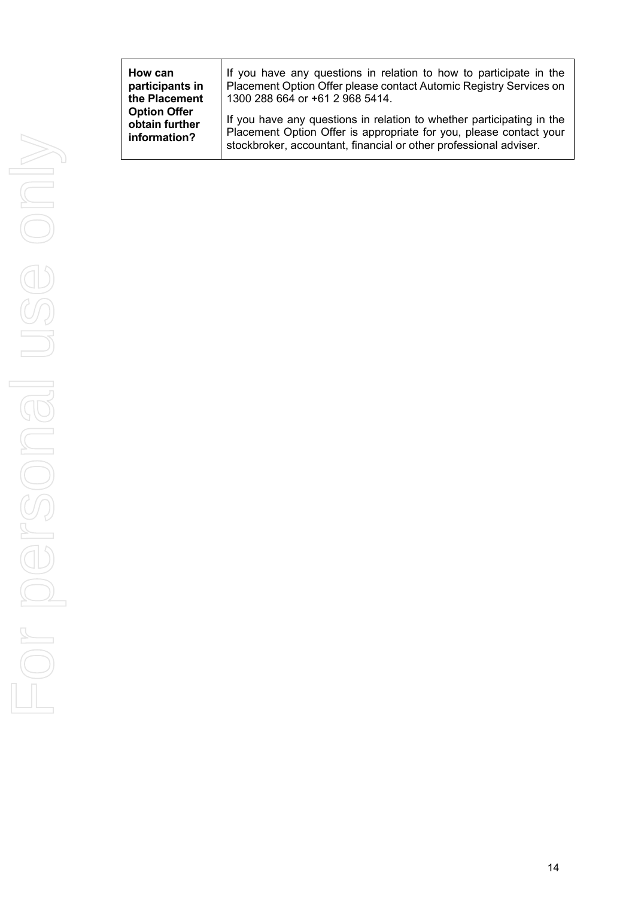| How can             | If you have any questions in relation to how to participate in the    |
|---------------------|-----------------------------------------------------------------------|
| participants in     | Placement Option Offer please contact Automic Registry Services on    |
| the Placement       | 1300 288 664 or +61 2 968 5414.                                       |
| <b>Option Offer</b> | If you have any questions in relation to whether participating in the |
| obtain further      | Placement Option Offer is appropriate for you, please contact your    |
| information?        | stockbroker, accountant, financial or other professional adviser.     |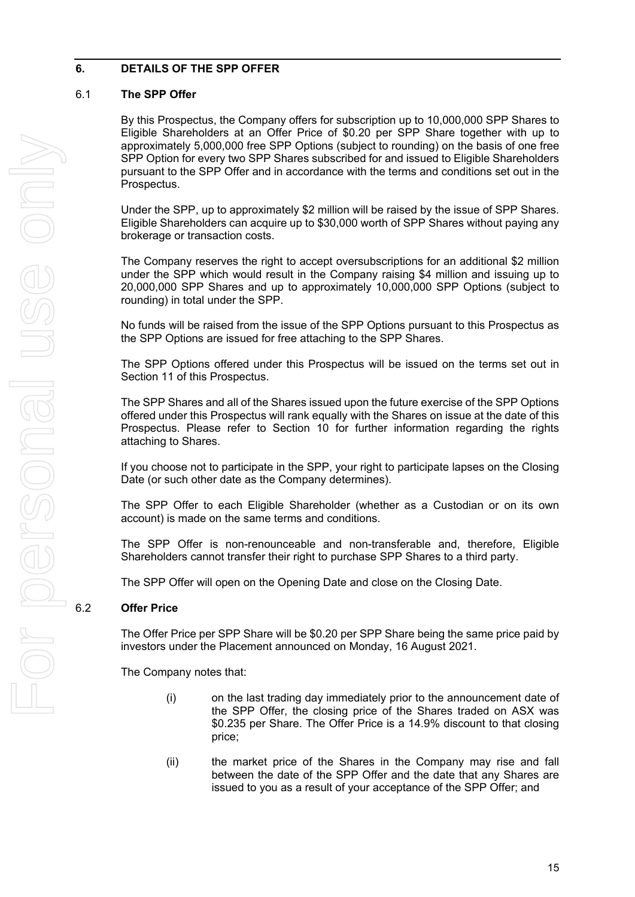#### **6. DETAILS OF THE SPP OFFER**

#### 6.1 **The SPP Offer**

By this Prospectus, the Company offers for subscription up to 10,000,000 SPP Shares to Eligible Shareholders at an Offer Price of \$0.20 per SPP Share together with up to approximately 5,000,000 free SPP Options (subject to rounding) on the basis of one free SPP Option for every two SPP Shares subscribed for and issued to Eligible Shareholders pursuant to the SPP Offer and in accordance with the terms and conditions set out in the Prospectus.

Under the SPP, up to approximately \$2 million will be raised by the issue of SPP Shares. Eligible Shareholders can acquire up to \$30,000 worth of SPP Shares without paying any brokerage or transaction costs.

The Company reserves the right to accept oversubscriptions for an additional \$2 million under the SPP which would result in the Company raising \$4 million and issuing up to 20,000,000 SPP Shares and up to approximately 10,000,000 SPP Options (subject to rounding) in total under the SPP.

No funds will be raised from the issue of the SPP Options pursuant to this Prospectus as the SPP Options are issued for free attaching to the SPP Shares.

The SPP Options offered under this Prospectus will be issued on the terms set out in Section [11](#page-39-0) of this Prospectus.

The SPP Shares and all of the Shares issued upon the future exercise of the SPP Options offered under this Prospectus will rank equally with the Shares on issue at the date of this Prospectus. Please refer to Section [10](#page-37-0) for further information regarding the rights attaching to Shares.

If you choose not to participate in the SPP, your right to participate lapses on the Closing Date (or such other date as the Company determines).

The SPP Offer to each Eligible Shareholder (whether as a Custodian or on its own account) is made on the same terms and conditions.

The SPP Offer is non-renounceable and non-transferable and, therefore, Eligible Shareholders cannot transfer their right to purchase SPP Shares to a third party.

The SPP Offer will open on the Opening Date and close on the Closing Date.

#### 6.2 **Offer Price**

The Offer Price per SPP Share will be \$0.20 per SPP Share being the same price paid by investors under the Placement announced on Monday, 16 August 2021.

The Company notes that:

- (i) on the last trading day immediately prior to the announcement date of the SPP Offer, the closing price of the Shares traded on ASX was \$0.235 per Share. The Offer Price is a 14.9% discount to that closing price;
- (ii) the market price of the Shares in the Company may rise and fall between the date of the SPP Offer and the date that any Shares are issued to you as a result of your acceptance of the SPP Offer; and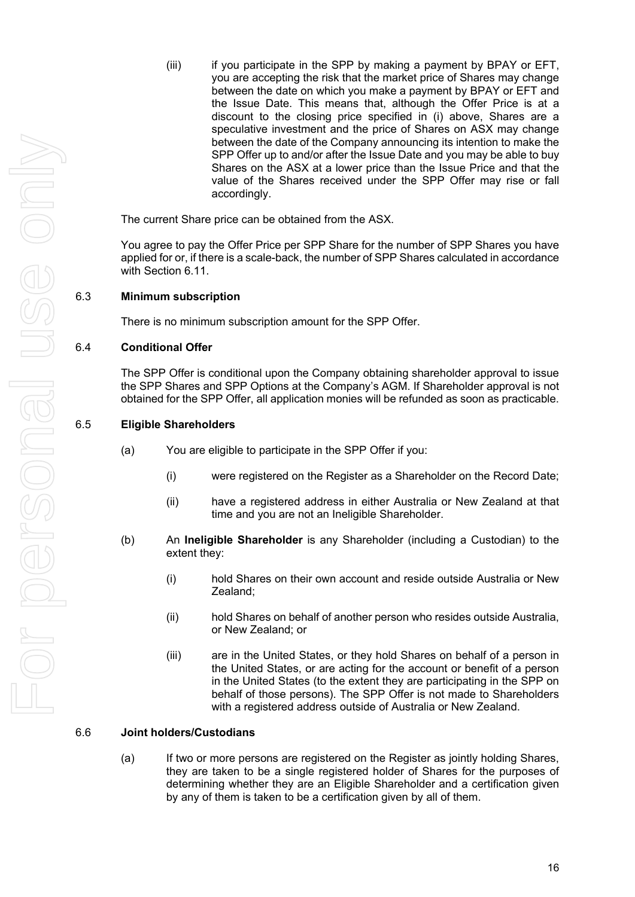(iii) if you participate in the SPP by making a payment by BPAY or EFT, you are accepting the risk that the market price of Shares may change between the date on which you make a payment by BPAY or EFT and the Issue Date. This means that, although the Offer Price is at a discount to the closing price specified in (i) above, Shares are a speculative investment and the price of Shares on ASX may change between the date of the Company announcing its intention to make the SPP Offer up to and/or after the Issue Date and you may be able to buy Shares on the ASX at a lower price than the Issue Price and that the value of the Shares received under the SPP Offer may rise or fall accordingly.

The current Share price can be obtained from the ASX.

You agree to pay the Offer Price per SPP Share for the number of SPP Shares you have applied for or, if there is a scale-back, the number of SPP Shares calculated in accordance with Section [6.11.](#page-21-0)

#### 6.3 **Minimum subscription**

There is no minimum subscription amount for the SPP Offer.

#### 6.4 **Conditional Offer**

The SPP Offer is conditional upon the Company obtaining shareholder approval to issue the SPP Shares and SPP Options at the Company's AGM. If Shareholder approval is not obtained for the SPP Offer, all application monies will be refunded as soon as practicable.

#### 6.5 **Eligible Shareholders**

- (a) You are eligible to participate in the SPP Offer if you:
	- (i) were registered on the Register as a Shareholder on the Record Date;
	- (ii) have a registered address in either Australia or New Zealand at that time and you are not an Ineligible Shareholder.
- (b) An **Ineligible Shareholder** is any Shareholder (including a Custodian) to the extent they:
	- (i) hold Shares on their own account and reside outside Australia or New Zealand;
	- (ii) hold Shares on behalf of another person who resides outside Australia, or New Zealand; or
	- (iii) are in the United States, or they hold Shares on behalf of a person in the United States, or are acting for the account or benefit of a person in the United States (to the extent they are participating in the SPP on behalf of those persons). The SPP Offer is not made to Shareholders with a registered address outside of Australia or New Zealand.

#### 6.6 **Joint holders/Custodians**

(a) If two or more persons are registered on the Register as jointly holding Shares, they are taken to be a single registered holder of Shares for the purposes of determining whether they are an Eligible Shareholder and a certification given by any of them is taken to be a certification given by all of them.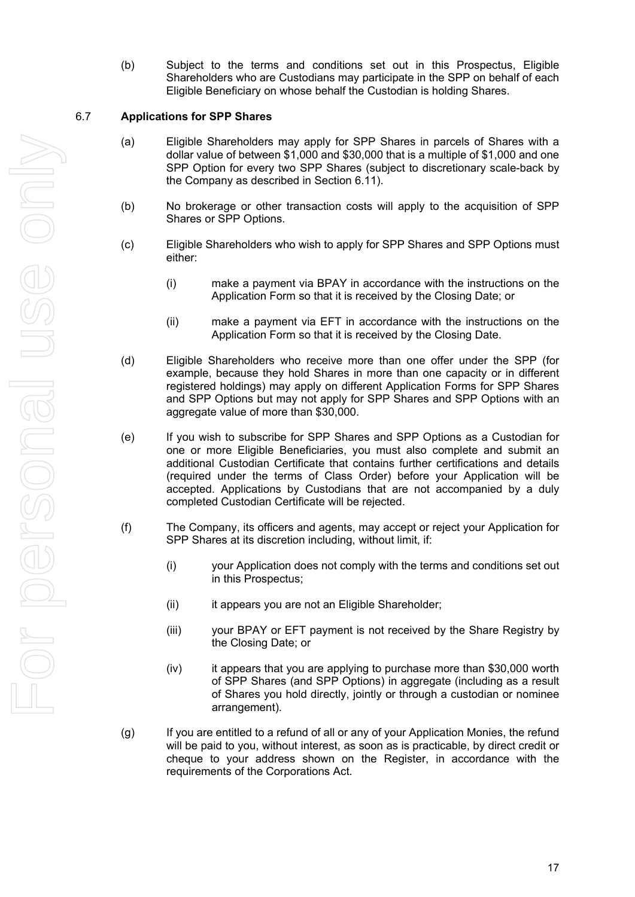(b) Subject to the terms and conditions set out in this Prospectus, Eligible Shareholders who are Custodians may participate in the SPP on behalf of each Eligible Beneficiary on whose behalf the Custodian is holding Shares.

#### <span id="page-18-0"></span>6.7 **Applications for SPP Shares**

- (a) Eligible Shareholders may apply for SPP Shares in parcels of Shares with a dollar value of between \$1,000 and \$30,000 that is a multiple of \$1,000 and one SPP Option for every two SPP Shares (subject to discretionary scale-back by the Company as described in Section [6.11\)](#page-21-0).
- (b) No brokerage or other transaction costs will apply to the acquisition of SPP Shares or SPP Options.
- (c) Eligible Shareholders who wish to apply for SPP Shares and SPP Options must either:
	- (i) make a payment via BPAY in accordance with the instructions on the Application Form so that it is received by the Closing Date; or
	- (ii) make a payment via EFT in accordance with the instructions on the Application Form so that it is received by the Closing Date.
- (d) Eligible Shareholders who receive more than one offer under the SPP (for example, because they hold Shares in more than one capacity or in different registered holdings) may apply on different Application Forms for SPP Shares and SPP Options but may not apply for SPP Shares and SPP Options with an aggregate value of more than \$30,000.
- (e) If you wish to subscribe for SPP Shares and SPP Options as a Custodian for one or more Eligible Beneficiaries, you must also complete and submit an additional Custodian Certificate that contains further certifications and details (required under the terms of Class Order) before your Application will be accepted. Applications by Custodians that are not accompanied by a duly completed Custodian Certificate will be rejected.
- (f) The Company, its officers and agents, may accept or reject your Application for SPP Shares at its discretion including, without limit, if:
	- (i) your Application does not comply with the terms and conditions set out in this Prospectus;
	- (ii) it appears you are not an Eligible Shareholder;
	- (iii) your BPAY or EFT payment is not received by the Share Registry by the Closing Date; or
	- (iv) it appears that you are applying to purchase more than \$30,000 worth of SPP Shares (and SPP Options) in aggregate (including as a result of Shares you hold directly, jointly or through a custodian or nominee arrangement).
- (g) If you are entitled to a refund of all or any of your Application Monies, the refund will be paid to you, without interest, as soon as is practicable, by direct credit or cheque to your address shown on the Register, in accordance with the requirements of the Corporations Act.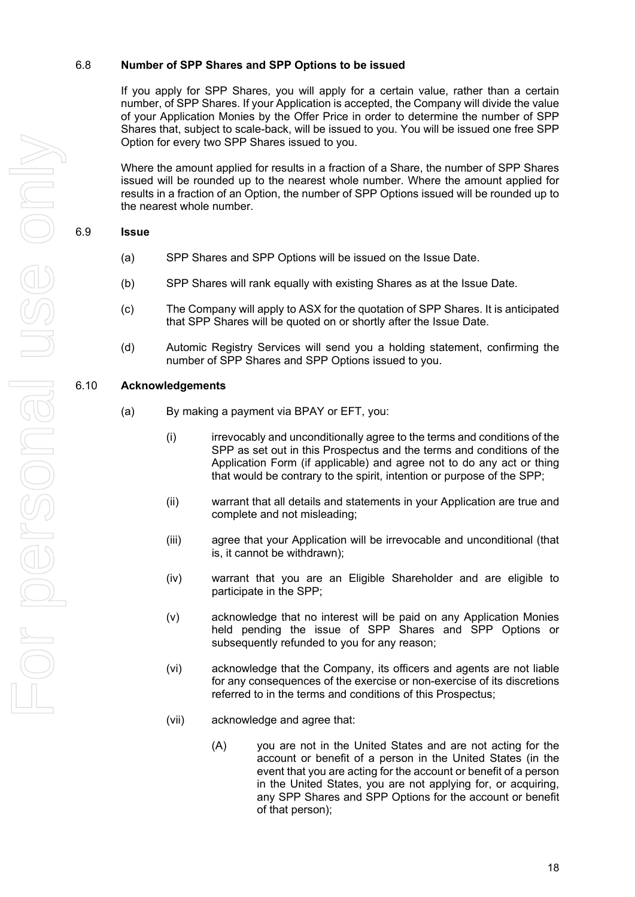#### 6.8 **Number of SPP Shares and SPP Options to be issued**

If you apply for SPP Shares, you will apply for a certain value, rather than a certain number, of SPP Shares. If your Application is accepted, the Company will divide the value of your Application Monies by the Offer Price in order to determine the number of SPP Shares that, subject to scale-back, will be issued to you. You will be issued one free SPP Option for every two SPP Shares issued to you.

Where the amount applied for results in a fraction of a Share, the number of SPP Shares issued will be rounded up to the nearest whole number. Where the amount applied for results in a fraction of an Option, the number of SPP Options issued will be rounded up to the nearest whole number.

#### 6.9 **Issue**

- (a) SPP Shares and SPP Options will be issued on the Issue Date.
- (b) SPP Shares will rank equally with existing Shares as at the Issue Date.
- (c) The Company will apply to ASX for the quotation of SPP Shares. It is anticipated that SPP Shares will be quoted on or shortly after the Issue Date.
- (d) Automic Registry Services will send you a holding statement, confirming the number of SPP Shares and SPP Options issued to you.

#### <span id="page-19-0"></span>6.10 **Acknowledgements**

- (a) By making a payment via BPAY or EFT, you:
	- (i) irrevocably and unconditionally agree to the terms and conditions of the SPP as set out in this Prospectus and the terms and conditions of the Application Form (if applicable) and agree not to do any act or thing that would be contrary to the spirit, intention or purpose of the SPP;
	- (ii) warrant that all details and statements in your Application are true and complete and not misleading;
	- (iii) agree that your Application will be irrevocable and unconditional (that is, it cannot be withdrawn);
	- (iv) warrant that you are an Eligible Shareholder and are eligible to participate in the SPP;
	- (v) acknowledge that no interest will be paid on any Application Monies held pending the issue of SPP Shares and SPP Options or subsequently refunded to you for any reason;
	- (vi) acknowledge that the Company, its officers and agents are not liable for any consequences of the exercise or non-exercise of its discretions referred to in the terms and conditions of this Prospectus;
	- (vii) acknowledge and agree that:
		- (A) you are not in the United States and are not acting for the account or benefit of a person in the United States (in the event that you are acting for the account or benefit of a person in the United States, you are not applying for, or acquiring, any SPP Shares and SPP Options for the account or benefit of that person);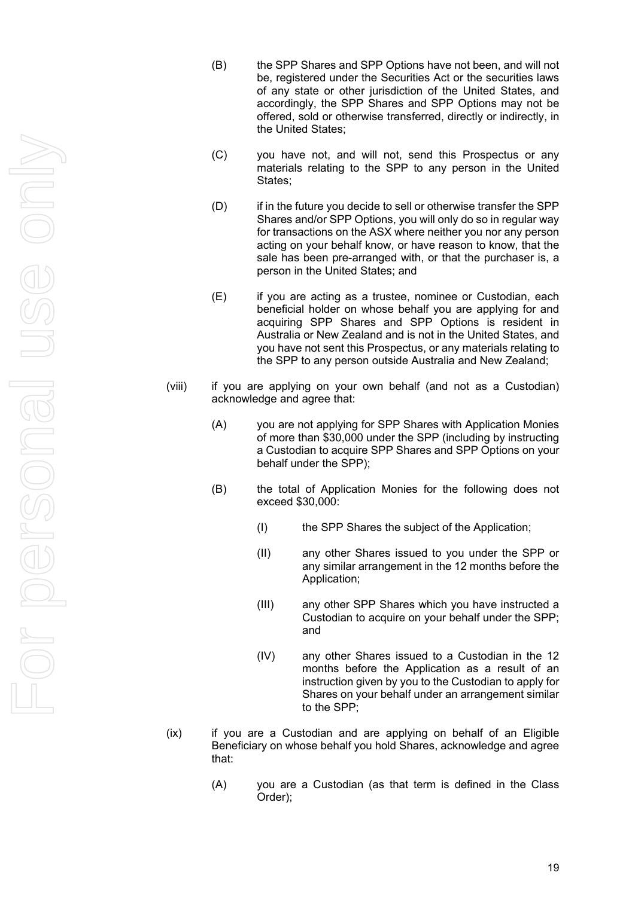- (B) the SPP Shares and SPP Options have not been, and will not be, registered under the Securities Act or the securities laws of any state or other jurisdiction of the United States, and accordingly, the SPP Shares and SPP Options may not be offered, sold or otherwise transferred, directly or indirectly, in the United States ;
- (C) you have not, and will not, send this Prospectus or any materials relating to the SPP to any person in the United States;
- (D) if in the future you decide to sell or otherwise transfer the SPP Shares and/or SPP Options, you will only do so in regular way for transactions on the ASX where neither you nor any person acting on your behalf know, or have reason to know, that the sale has been pre -arranged with, or that the purchaser is, a person in the United States; and
- (E) if you are acting as a trustee, nominee or Custodian, each beneficial holder on whose behalf you are applying for and acquiring SPP Shares and SPP Options is resident in Australia or New Zealand and is not in the United States, and you have not sent this Prospectus, or any materials relating to the SPP to any person outside Australia and New Zealand;
- (viii) if you are applying on your own behalf (and not as a Custodian) acknowledge and agree that:
	- (A) you are not applying for SPP Shares with Application Monies of more than \$30,000 under the SPP (including by instructing a Custodian to acquire SPP Shares and SPP Options on your behalf under the SPP);
	- (B) the total of Application Monies for the following does not exceed \$30,000:
		- (I) the SPP Shares the subject of the Application;
		- (II) any other Shares issued to you under the SPP or any similar arrangement in the 12 months before the Application;
		- (III) any other SPP Shares which you have instructed a Custodian to acquire on your behalf under the SPP; and
		- (IV) any other Shares issued to a Custodian in the 12 months before the Application as a result of an instruction given by you to the Custodian to apply for Shares on your behalf under an arrangement similar to the SPP;
- (ix) if you are a Custodian and are applying on behalf of an Eligible Beneficiary on whose behalf you hold Shares, acknowledge and agree that:
	- (A) you are a Custodian (as that term is defined in the Class Order);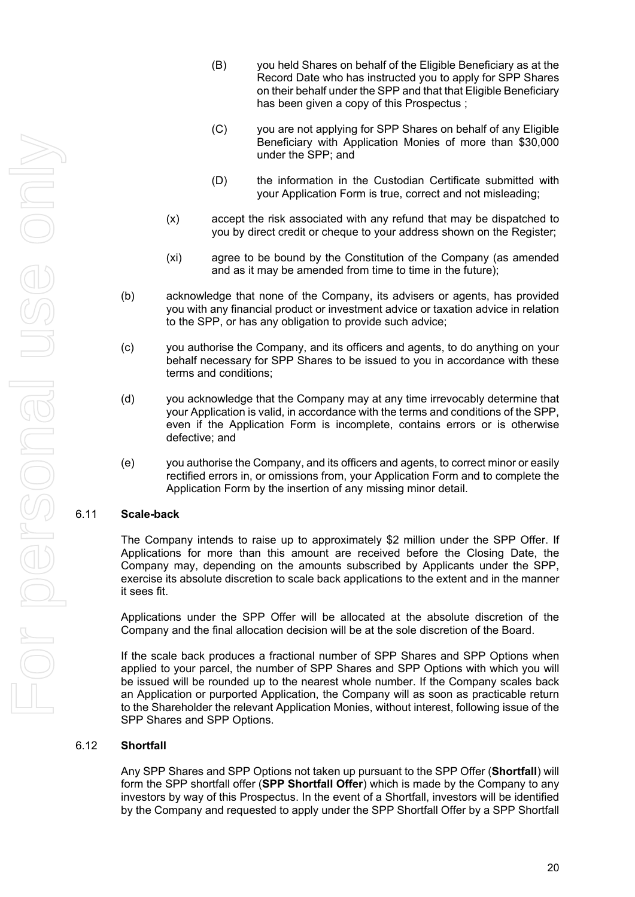- (B) you held Shares on behalf of the Eligible Beneficiary as at the Record Date who has instructed you to apply for SPP Shares on their behalf under the SPP and that that Eligible Beneficiary has been given a copy of this Prospectus ;
- (C) you are not applying for SPP Shares on behalf of any Eligible Beneficiary with Application Monies of more than \$30,000 under the SPP; and
- (D) the information in the Custodian Certificate submitted with your Application Form is true, correct and not misleading;
- (x) accept the risk associated with any refund that may be dispatched to you by direct credit or cheque to your address shown on the Register;
- (xi) agree to be bound by the Constitution of the Company (as amended and as it may be amended from time to time in the future);
- (b) acknowledge that none of the Company, its advisers or agents, has provided you with any financial product or investment advice or taxation advice in relation to the SPP, or has any obligation to provide such advice;
- (c) you authorise the Company, and its officers and agents, to do anything on your behalf necessary for SPP Shares to be issued to you in accordance with these terms and conditions;
- (d) you acknowledge that the Company may at any time irrevocably determine that your Application is valid, in accordance with the terms and conditions of the SPP, even if the Application Form is incomplete, contains errors or is otherwise defective; and
- (e) you authorise the Company, and its officers and agents, to correct minor or easily rectified errors in, or omissions from, your Application Form and to complete the Application Form by the insertion of any missing minor detail.

#### <span id="page-21-0"></span>6.11 **Scale-back**

The Company intends to raise up to approximately \$2 million under the SPP Offer. If Applications for more than this amount are received before the Closing Date, the Company may, depending on the amounts subscribed by Applicants under the SPP, exercise its absolute discretion to scale back applications to the extent and in the manner it sees fit.

Applications under the SPP Offer will be allocated at the absolute discretion of the Company and the final allocation decision will be at the sole discretion of the Board.

If the scale back produces a fractional number of SPP Shares and SPP Options when applied to your parcel, the number of SPP Shares and SPP Options with which you will be issued will be rounded up to the nearest whole number. If the Company scales back an Application or purported Application, the Company will as soon as practicable return to the Shareholder the relevant Application Monies, without interest, following issue of the SPP Shares and SPP Options.

#### 6.12 **Shortfall**

Any SPP Shares and SPP Options not taken up pursuant to the SPP Offer (**Shortfall**) will form the SPP shortfall offer (**SPP Shortfall Offer**) which is made by the Company to any investors by way of this Prospectus. In the event of a Shortfall, investors will be identified by the Company and requested to apply under the SPP Shortfall Offer by a SPP Shortfall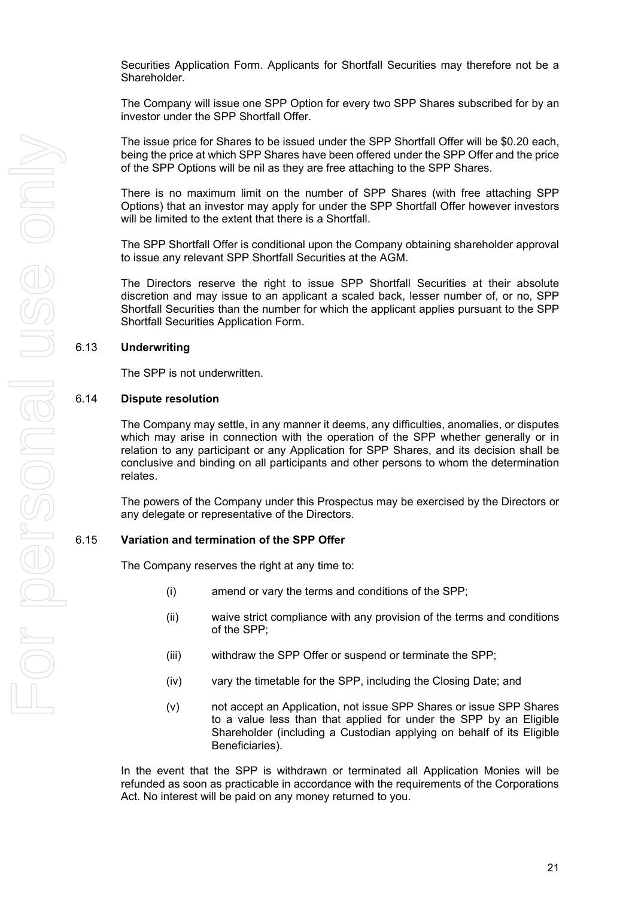Securities Application Form. Applicants for Shortfall Securities may therefore not be a Shareholder.

The Company will issue one SPP Option for every two SPP Shares subscribed for by an investor under the SPP Shortfall Offer.

The issue price for Shares to be issued under the SPP Shortfall Offer will be \$0.20 each, being the price at which SPP Shares have been offered under the SPP Offer and the price of the SPP Options will be nil as they are free attaching to the SPP Shares.

There is no maximum limit on the number of SPP Shares (with free attaching SPP Options) that an investor may apply for under the SPP Shortfall Offer however investors will be limited to the extent that there is a Shortfall.

The SPP Shortfall Offer is conditional upon the Company obtaining shareholder approval to issue any relevant SPP Shortfall Securities at the AGM.

The Directors reserve the right to issue SPP Shortfall Securities at their absolute discretion and may issue to an applicant a scaled back, lesser number of, or no, SPP Shortfall Securities than the number for which the applicant applies pursuant to the SPP Shortfall Securities Application Form.

#### 6.13 **Underwriting**

The SPP is not underwritten.

#### 6.14 **Dispute resolution**

The Company may settle, in any manner it deems, any difficulties, anomalies, or disputes which may arise in connection with the operation of the SPP whether generally or in relation to any participant or any Application for SPP Shares, and its decision shall be conclusive and binding on all participants and other persons to whom the determination relates.

The powers of the Company under this Prospectus may be exercised by the Directors or any delegate or representative of the Directors.

#### 6.15 **Variation and termination of the SPP Offer**

The Company reserves the right at any time to:

- (i) amend or vary the terms and conditions of the SPP;
- (ii) waive strict compliance with any provision of the terms and conditions of the SPP;
- (iii) withdraw the SPP Offer or suspend or terminate the SPP;
- (iv) vary the timetable for the SPP, including the Closing Date; and
- (v) not accept an Application, not issue SPP Shares or issue SPP Shares to a value less than that applied for under the SPP by an Eligible Shareholder (including a Custodian applying on behalf of its Eligible Beneficiaries).

In the event that the SPP is withdrawn or terminated all Application Monies will be refunded as soon as practicable in accordance with the requirements of the Corporations Act. No interest will be paid on any money returned to you.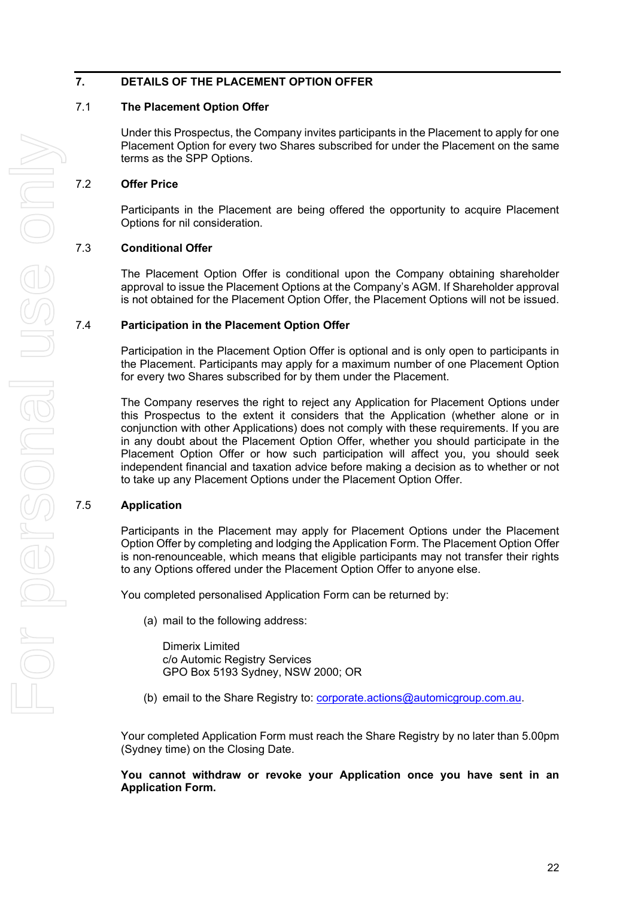#### **7. DETAILS OF THE PLACEMENT OPTION OFFER**

#### 7.1 **The Placement Option Offer**

Under this Prospectus, the Company invites participants in the Placement to apply for one Placement Option for every two Shares subscribed for under the Placement on the same terms as the SPP Options.

#### 7.2 **Offer Price**

Participants in the Placement are being offered the opportunity to acquire Placement Options for nil consideration.

#### 7.3 **Conditional Offer**

The Placement Option Offer is conditional upon the Company obtaining shareholder approval to issue the Placement Options at the Company's AGM. If Shareholder approval is not obtained for the Placement Option Offer, the Placement Options will not be issued.

#### 7.4 **Participation in the Placement Option Offer**

Participation in the Placement Option Offer is optional and is only open to participants in the Placement. Participants may apply for a maximum number of one Placement Option for every two Shares subscribed for by them under the Placement.

The Company reserves the right to reject any Application for Placement Options under this Prospectus to the extent it considers that the Application (whether alone or in conjunction with other Applications) does not comply with these requirements. If you are in any doubt about the Placement Option Offer, whether you should participate in the Placement Option Offer or how such participation will affect you, you should seek independent financial and taxation advice before making a decision as to whether or not to take up any Placement Options under the Placement Option Offer.

#### 7.5 **Application**

Participants in the Placement may apply for Placement Options under the Placement Option Offer by completing and lodging the Application Form. The Placement Option Offer is non-renounceable, which means that eligible participants may not transfer their rights to any Options offered under the Placement Option Offer to anyone else.

You completed personalised Application Form can be returned by:

(a) mail to the following address:

Dimerix Limited c/o Automic Registry Services GPO Box 5193 Sydney, NSW 2000; OR

(b) email to the Share Registry to: [corporate.actions@automicgroup.com.au.](mailto:corporate.actions@automicgroup.com.au)

Your completed Application Form must reach the Share Registry by no later than 5.00pm (Sydney time) on the Closing Date.

**You cannot withdraw or revoke your Application once you have sent in an Application Form.**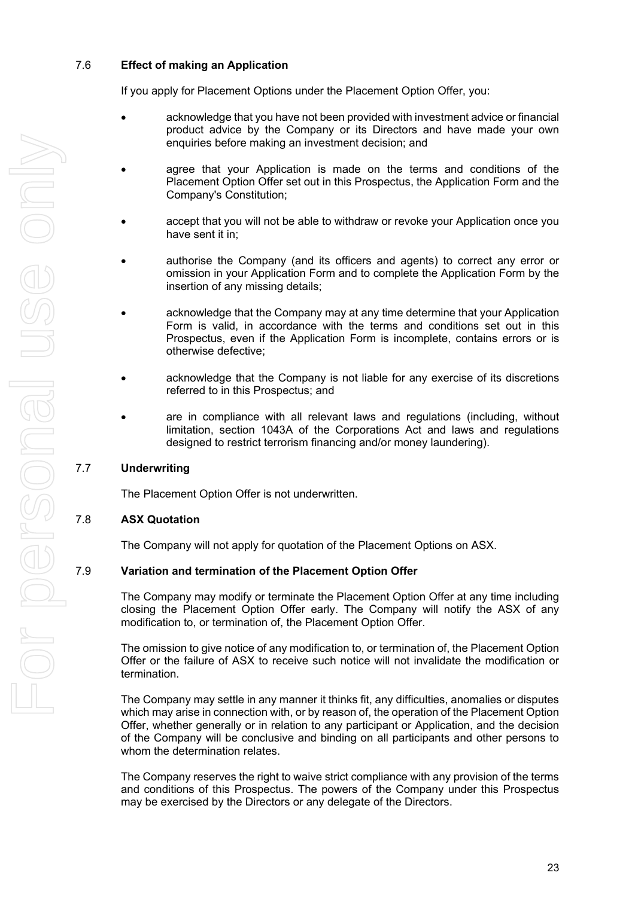#### 7.6 **Effect of making an Application**

If you apply for Placement Options under the Placement Option Offer, you:

- acknowledge that you have not been provided with investment advice or financial product advice by the Company or its Directors and have made your own enquiries before making an investment decision; and
- agree that your Application is made on the terms and conditions of the Placement Option Offer set out in this Prospectus, the Application Form and the Company's Constitution;
- accept that you will not be able to withdraw or revoke your Application once you have sent it in;
- authorise the Company (and its officers and agents) to correct any error or omission in your Application Form and to complete the Application Form by the insertion of any missing details;
- acknowledge that the Company may at any time determine that your Application Form is valid, in accordance with the terms and conditions set out in this Prospectus, even if the Application Form is incomplete, contains errors or is otherwise defective;
- acknowledge that the Company is not liable for any exercise of its discretions referred to in this Prospectus; and
- are in compliance with all relevant laws and regulations (including, without limitation, section 1043A of the Corporations Act and laws and regulations designed to restrict terrorism financing and/or money laundering).

#### 7.7 **Underwriting**

The Placement Option Offer is not underwritten.

#### 7.8 **ASX Quotation**

The Company will not apply for quotation of the Placement Options on ASX.

#### 7.9 **Variation and termination of the Placement Option Offer**

The Company may modify or terminate the Placement Option Offer at any time including closing the Placement Option Offer early. The Company will notify the ASX of any modification to, or termination of, the Placement Option Offer.

The omission to give notice of any modification to, or termination of, the Placement Option Offer or the failure of ASX to receive such notice will not invalidate the modification or termination.

The Company may settle in any manner it thinks fit, any difficulties, anomalies or disputes which may arise in connection with, or by reason of, the operation of the Placement Option Offer, whether generally or in relation to any participant or Application, and the decision of the Company will be conclusive and binding on all participants and other persons to whom the determination relates.

The Company reserves the right to waive strict compliance with any provision of the terms and conditions of this Prospectus. The powers of the Company under this Prospectus may be exercised by the Directors or any delegate of the Directors.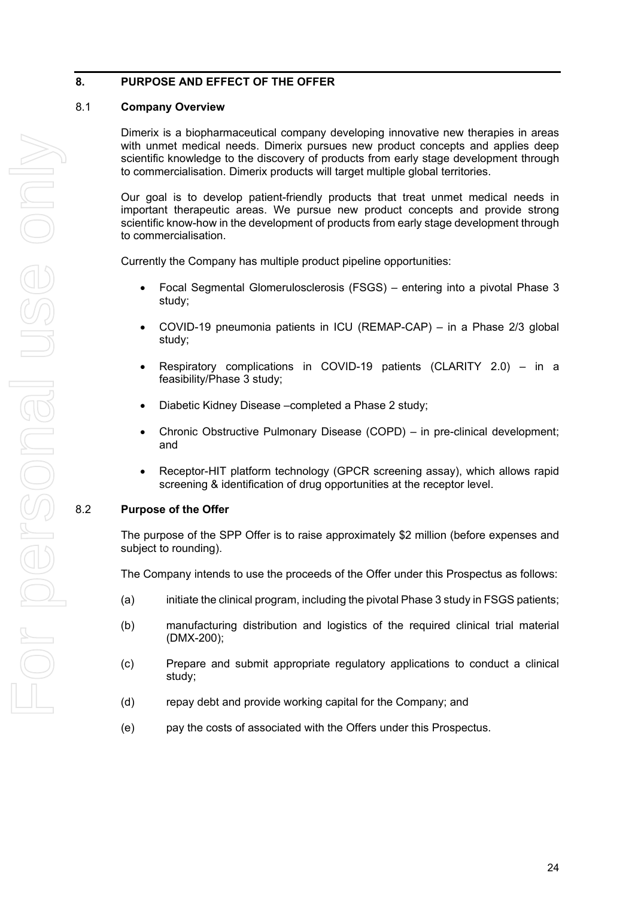#### **8. PURPOSE AND EFFECT OF THE OFFER**

#### 8.1 **Company Overview**

Dimerix is a biopharmaceutical company developing innovative new therapies in areas with unmet medical needs. Dimerix pursues new product concepts and applies deep scientific knowledge to the discovery of products from early stage development through to commercialisation. Dimerix products will target multiple global territories.

Our goal is to develop patient-friendly products that treat unmet medical needs in important therapeutic areas. We pursue new product concepts and provide strong scientific know-how in the development of products from early stage development through to commercialisation.

Currently the Company has multiple product pipeline opportunities:

- Focal Segmental Glomerulosclerosis (FSGS) entering into a pivotal Phase 3 study;
- COVID-19 pneumonia patients in ICU (REMAP-CAP) in a Phase 2/3 global study;
- Respiratory complications in COVID-19 patients (CLARITY 2.0) in a feasibility/Phase 3 study;
- Diabetic Kidney Disease –completed a Phase 2 study;
- Chronic Obstructive Pulmonary Disease (COPD) in pre-clinical development; and
- Receptor-HIT platform technology (GPCR screening assay), which allows rapid screening & identification of drug opportunities at the receptor level.

#### 8.2 **Purpose of the Offer**

The purpose of the SPP Offer is to raise approximately \$2 million (before expenses and subject to rounding).

The Company intends to use the proceeds of the Offer under this Prospectus as follows:

- (a) initiate the clinical program, including the pivotal Phase 3 study in FSGS patients;
- (b) manufacturing distribution and logistics of the required clinical trial material (DMX-200);
- (c) Prepare and submit appropriate regulatory applications to conduct a clinical study;
- (d) repay debt and provide working capital for the Company; and
- (e) pay the costs of associated with the Offers under this Prospectus.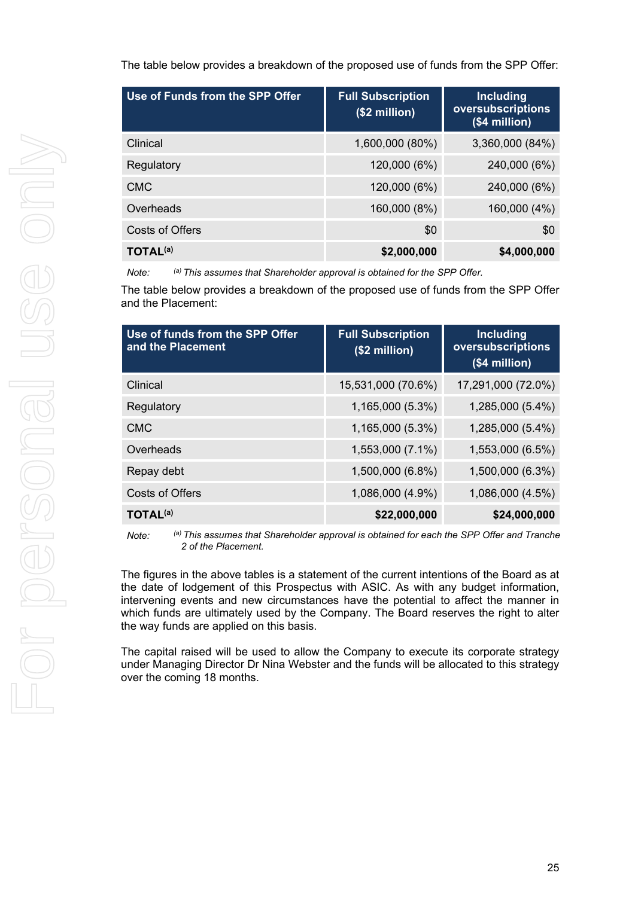The table below provides a breakdown of the proposed use of funds from the SPP Offer:

| Use of Funds from the SPP Offer | <b>Full Subscription</b><br>(\$2 million) | Including<br>oversubscriptions<br>$($4$ million $)$ |
|---------------------------------|-------------------------------------------|-----------------------------------------------------|
| Clinical                        | 1,600,000 (80%)                           | 3,360,000 (84%)                                     |
| Regulatory                      | 120,000 (6%)                              | 240,000 (6%)                                        |
| <b>CMC</b>                      | 120,000 (6%)                              | 240,000 (6%)                                        |
| Overheads                       | 160,000 (8%)                              | 160,000 (4%)                                        |
| Costs of Offers                 | \$0                                       | \$0                                                 |
| <b>TOTAL<sup>(a)</sup></b>      | \$2,000,000                               | \$4,000,000                                         |

*Note: (a) This assumes that Shareholder approval is obtained for the SPP Offer.*

The table below provides a breakdown of the proposed use of funds from the SPP Offer and the Placement:

| Use of funds from the SPP Offer<br>and the Placement | <b>Full Subscription</b><br>(\$2 million) | Including<br>oversubscriptions<br>(\$4 million) |
|------------------------------------------------------|-------------------------------------------|-------------------------------------------------|
| Clinical                                             | 15,531,000 (70.6%)                        | 17,291,000 (72.0%)                              |
| Regulatory                                           | 1,165,000 (5.3%)                          | 1,285,000 (5.4%)                                |
| <b>CMC</b>                                           | 1,165,000 (5.3%)                          | 1,285,000 (5.4%)                                |
| Overheads                                            | 1,553,000 (7.1%)                          | 1,553,000 (6.5%)                                |
| Repay debt                                           | 1,500,000 (6.8%)                          | 1,500,000 (6.3%)                                |
| <b>Costs of Offers</b>                               | 1,086,000 (4.9%)                          | 1,086,000 (4.5%)                                |
| <b>TOTAL<sup>(a)</sup></b>                           | \$22,000,000                              | \$24,000,000                                    |

*Note: (a) This assumes that Shareholder approval is obtained for each the SPP Offer and Tranche 2 of the Placement.*

The figures in the above tables is a statement of the current intentions of the Board as at the date of lodgement of this Prospectus with ASIC. As with any budget information, intervening events and new circumstances have the potential to affect the manner in which funds are ultimately used by the Company. The Board reserves the right to alter the way funds are applied on this basis.

The capital raised will be used to allow the Company to execute its corporate strategy under Managing Director Dr Nina Webster and the funds will be allocated to this strategy over the coming 18 months.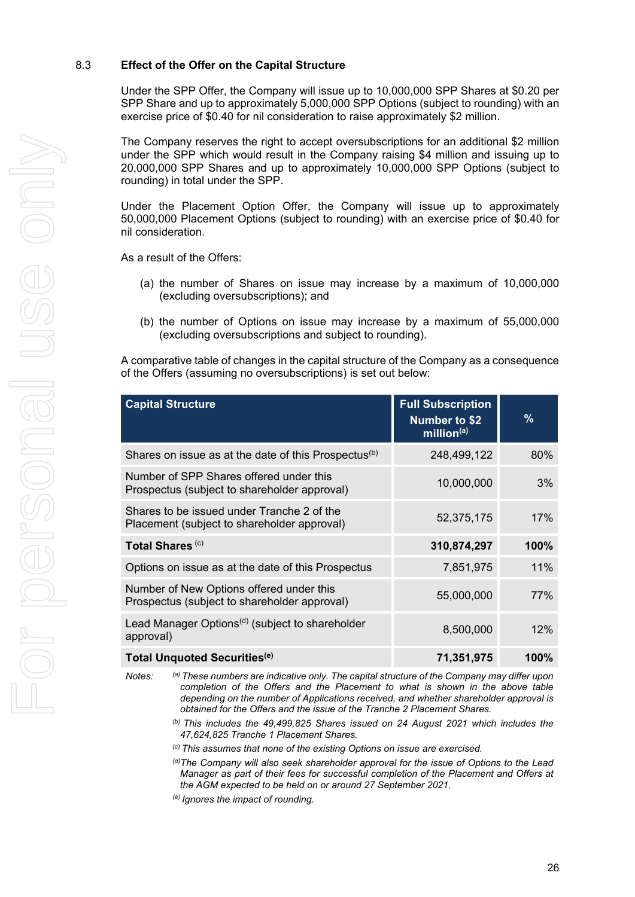#### 8.3 **Effect of the Offer on the Capital Structure**

Under the SPP Offer, the Company will issue up to 10,000,000 SPP Shares at \$0.20 per SPP Share and up to approximately 5,000,000 SPP Options (subject to rounding) with an exercise price of \$0.40 for nil consideration to raise approximately \$2 million.

The Company reserves the right to accept oversubscriptions for an additional \$2 million under the SPP which would result in the Company raising \$4 million and issuing up to 20,000,000 SPP Shares and up to approximately 10,000,000 SPP Options (subject to rounding) in total under the SPP.

Under the Placement Option Offer, the Company will issue up to approximately 50,000,000 Placement Options (subject to rounding) with an exercise price of \$0.40 for nil consideration.

As a result of the Offers:

- (a) the number of Shares on issue may increase by a maximum of 10,000,000 (excluding oversubscriptions); and
- (b) the number of Options on issue may increase by a maximum of 55,000,000 (excluding oversubscriptions and subject to rounding).

A comparative table of changes in the capital structure of the Company as a consequence of the Offers (assuming no oversubscriptions) is set out below:

| <b>Capital Structure</b>                                                                  | <b>Full Subscription</b><br><b>Number to \$2</b><br>$\overline{\text{million}}^{(a)}$ | %    |
|-------------------------------------------------------------------------------------------|---------------------------------------------------------------------------------------|------|
| Shares on issue as at the date of this Prospectus <sup>(b)</sup>                          | 248,499,122                                                                           | 80%  |
| Number of SPP Shares offered under this<br>Prospectus (subject to shareholder approval)   | 10,000,000                                                                            | 3%   |
| Shares to be issued under Tranche 2 of the<br>Placement (subject to shareholder approval) | 52,375,175                                                                            | 17%  |
| Total Shares <sup>(c)</sup>                                                               | 310,874,297                                                                           | 100% |
| Options on issue as at the date of this Prospectus                                        | 7,851,975                                                                             | 11%  |
| Number of New Options offered under this<br>Prospectus (subject to shareholder approval)  | 55,000,000                                                                            | 77%  |
| Lead Manager Options <sup>(d)</sup> (subject to shareholder<br>approval)                  | 8,500,000                                                                             | 12%  |
| Total Unquoted Securities <sup>(e)</sup>                                                  | 71,351,975                                                                            | 100% |

*Notes: (a) These numbers are indicative only. The capital structure of the Company may differ upon completion of the Offers and the Placement to what is shown in the above table depending on the number of Applications received, and whether shareholder approval is obtained for the Offers and the issue of the Tranche 2 Placement Shares.*

> *(b) This includes the 49,499,825 Shares issued on 24 August 2021 which includes the 47,624,825 Tranche 1 Placement Shares.*

*(c) This assumes that none of the existing Options on issue are exercised.*

*(d) The Company will also seek shareholder approval for the issue of Options to the Lead Manager as part of their fees for successful completion of the Placement and Offers at the AGM expected to be held on or around 27 September 2021.*

*(e) Ignores the impact of rounding.*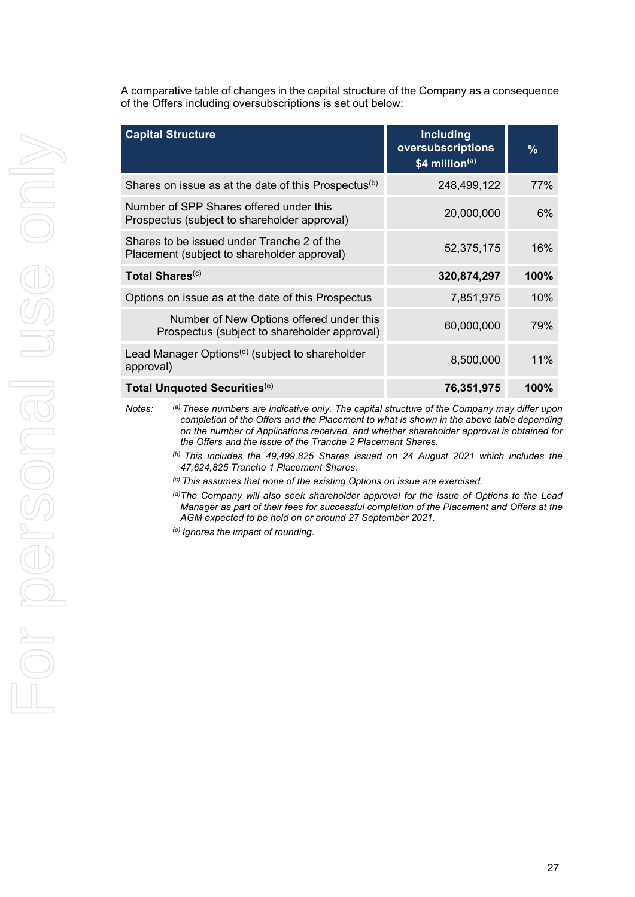A comparative table of changes in the capital structure of the Company as a consequence of the Offers including oversubscriptions is set out below:

| <b>Capital Structure</b>                                                                  | <b>Including</b><br>oversubscriptions<br>\$4 million(a) | $\%$ |
|-------------------------------------------------------------------------------------------|---------------------------------------------------------|------|
| Shares on issue as at the date of this Prospectus <sup>(b)</sup>                          | 248,499,122                                             | 77%  |
| Number of SPP Shares offered under this<br>Prospectus (subject to shareholder approval)   | 20,000,000                                              | 6%   |
| Shares to be issued under Tranche 2 of the<br>Placement (subject to shareholder approval) | 52,375,175                                              | 16%  |
| Total Shares <sup>(c)</sup>                                                               | 320,874,297                                             | 100% |
| Options on issue as at the date of this Prospectus                                        | 7,851,975                                               | 10%  |
| Number of New Options offered under this<br>Prospectus (subject to shareholder approval)  | 60,000,000                                              | 79%  |
| Lead Manager Options <sup>(d)</sup> (subject to shareholder<br>approval)                  | 8,500,000                                               | 11%  |
| Total Unquoted Securities <sup>(e)</sup>                                                  | 76,351,975                                              | 100% |

*Notes: (a) These numbers are indicative only. The capital structure of the Company may differ upon completion of the Offers and the Placement to what is shown in the above table depending on the number of Applications received, and whether shareholder approval is obtained for the Offers and the issue of the Tranche 2 Placement Shares.*

- *(b) This includes the 49,499,825 Shares issued on 24 August 2021 which includes the 47,624,825 Tranche 1 Placement Shares.*
- *(c) This assumes that none of the existing Options on issue are exercised.*
- *(d) The Company will also seek shareholder approval for the issue of Options to the Lead Manager as part of their fees for successful completion of the Placement and Offers at the AGM expected to be held on or around 27 September 2021.*
- *(e) Ignores the impact of rounding.*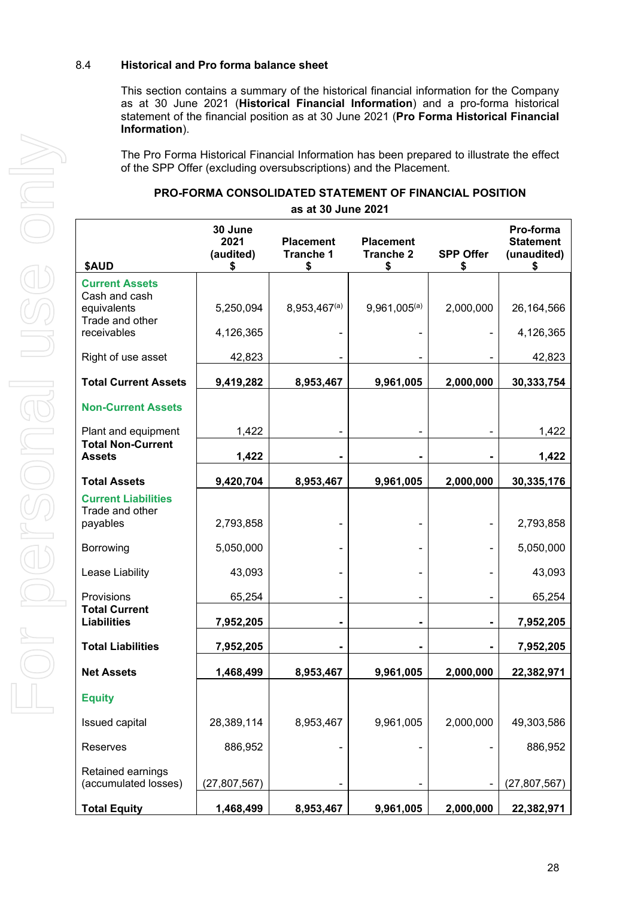#### 8.4 **Historical and Pro forma balance sheet**

This section contains a summary of the historical financial information for the Company as at 30 June 2021 (**Historical Financial Information**) and a pro-forma historical statement of the financial position as at 30 June 2021 (**Pro Forma Historical Financial Information**).

The Pro Forma Historical Financial Information has been prepared to illustrate the effect of the SPP Offer (excluding oversubscriptions) and the Placement.

| <b>PRO-FORMA CONSOLIDATED STATEMENT OF FINANCIAL POSITION</b> |
|---------------------------------------------------------------|
| as at 30 June 2021                                            |

| \$AUD                                         | 30 June<br>2021<br>(audited)<br>S | <b>Placement</b><br><b>Tranche 1</b><br>S | <b>Placement</b><br><b>Tranche 2</b><br>\$ | <b>SPP Offer</b><br>\$ | Pro-forma<br><b>Statement</b><br>(unaudited) |
|-----------------------------------------------|-----------------------------------|-------------------------------------------|--------------------------------------------|------------------------|----------------------------------------------|
| <b>Current Assets</b><br>Cash and cash        |                                   |                                           |                                            |                        |                                              |
| equivalents<br>Trade and other                | 5,250,094                         | $8,953,467^{(a)}$                         | $9,961,005^{(a)}$                          | 2,000,000              | 26,164,566                                   |
| receivables                                   | 4,126,365                         |                                           |                                            |                        | 4,126,365                                    |
| Right of use asset                            | 42,823                            |                                           |                                            |                        | 42,823                                       |
| <b>Total Current Assets</b>                   | 9,419,282                         | 8,953,467                                 | 9,961,005                                  | 2,000,000              | 30,333,754                                   |
| <b>Non-Current Assets</b>                     |                                   |                                           |                                            |                        |                                              |
| Plant and equipment                           | 1,422                             |                                           |                                            |                        | 1,422                                        |
| <b>Total Non-Current</b><br><b>Assets</b>     | 1,422                             |                                           |                                            |                        | 1,422                                        |
| <b>Total Assets</b>                           | 9,420,704                         | 8,953,467                                 | 9,961,005                                  | 2,000,000              | 30,335,176                                   |
| <b>Current Liabilities</b><br>Trade and other |                                   |                                           |                                            |                        |                                              |
| payables                                      | 2,793,858                         |                                           |                                            |                        | 2,793,858                                    |
| Borrowing                                     | 5,050,000                         |                                           |                                            |                        | 5,050,000                                    |
| Lease Liability                               | 43,093                            |                                           |                                            |                        | 43,093                                       |
| Provisions<br><b>Total Current</b>            | 65,254                            |                                           |                                            |                        | 65,254                                       |
| <b>Liabilities</b>                            | 7,952,205                         |                                           |                                            | $\blacksquare$         | 7,952,205                                    |
| <b>Total Liabilities</b>                      | 7,952,205                         |                                           |                                            | $\blacksquare$         | 7,952,205                                    |
| <b>Net Assets</b>                             | 1,468,499                         | 8,953,467                                 | 9,961,005                                  | 2,000,000              | 22,382,971                                   |
| <b>Equity</b>                                 |                                   |                                           |                                            |                        |                                              |
| Issued capital                                | 28,389,114                        | 8,953,467                                 | 9,961,005                                  | 2,000,000              | 49,303,586                                   |
| Reserves                                      | 886,952                           |                                           |                                            |                        | 886,952                                      |
| Retained earnings<br>(accumulated losses)     | (27,807,567)                      |                                           |                                            |                        | (27, 807, 567)                               |
| <b>Total Equity</b>                           | 1,468,499                         | 8,953,467                                 | 9,961,005                                  | 2,000,000              | 22,382,971                                   |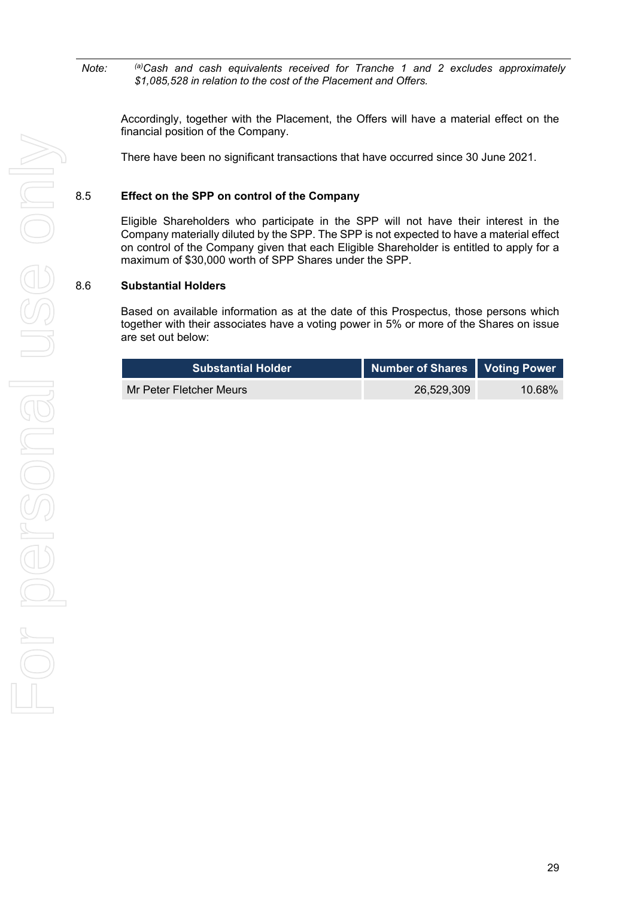*Note: (a)Cash and cash equivalents received for Tranche 1 and 2 excludes approximately \$1,085,528 in relation to the cost of the Placement and Offers.*

Accordingly, together with the Placement, the Offers will have a material effect on the financial position of the Company.

There have been no significant transactions that have occurred since 30 June 2021.

#### 8.5 **Effect on the SPP on control of the Company**

Eligible Shareholders who participate in the SPP will not have their interest in the Company materially diluted by the SPP. The SPP is not expected to have a material effect on control of the Company given that each Eligible Shareholder is entitled to apply for a maximum of \$30,000 worth of SPP Shares under the SPP.

#### 8.6 **Substantial Holders**

Based on available information as at the date of this Prospectus, those persons which together with their associates have a voting power in 5% or more of the Shares on issue are set out below:

| ا Substantial Holder    | Number of Shares   Voting Power |           |
|-------------------------|---------------------------------|-----------|
| Mr Peter Fletcher Meurs | 26.529.309                      | $10.68\%$ |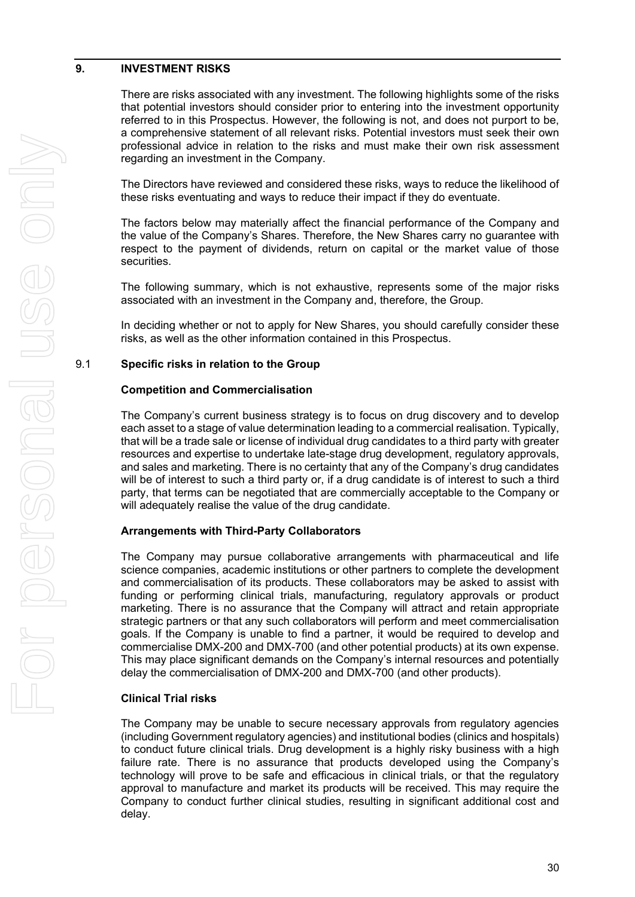#### <span id="page-31-0"></span>**9. INVESTMENT RISKS**

There are risks associated with any investment. The following highlights some of the risks that potential investors should consider prior to entering into the investment opportunity referred to in this Prospectus. However, the following is not, and does not purport to be, a comprehensive statement of all relevant risks. Potential investors must seek their own professional advice in relation to the risks and must make their own risk assessment regarding an investment in the Company.

The Directors have reviewed and considered these risks, ways to reduce the likelihood of these risks eventuating and ways to reduce their impact if they do eventuate.

The factors below may materially affect the financial performance of the Company and the value of the Company's Shares. Therefore, the New Shares carry no guarantee with respect to the payment of dividends, return on capital or the market value of those securities.

The following summary, which is not exhaustive, represents some of the major risks associated with an investment in the Company and, therefore, the Group.

In deciding whether or not to apply for New Shares, you should carefully consider these risks, as well as the other information contained in this Prospectus.

#### 9.1 **Specific risks in relation to the Group**

#### **Competition and Commercialisation**

The Company's current business strategy is to focus on drug discovery and to develop each asset to a stage of value determination leading to a commercial realisation. Typically, that will be a trade sale or license of individual drug candidates to a third party with greater resources and expertise to undertake late-stage drug development, regulatory approvals, and sales and marketing. There is no certainty that any of the Company's drug candidates will be of interest to such a third party or, if a drug candidate is of interest to such a third party, that terms can be negotiated that are commercially acceptable to the Company or will adequately realise the value of the drug candidate.

#### **Arrangements with Third-Party Collaborators**

The Company may pursue collaborative arrangements with pharmaceutical and life science companies, academic institutions or other partners to complete the development and commercialisation of its products. These collaborators may be asked to assist with funding or performing clinical trials, manufacturing, regulatory approvals or product marketing. There is no assurance that the Company will attract and retain appropriate strategic partners or that any such collaborators will perform and meet commercialisation goals. If the Company is unable to find a partner, it would be required to develop and commercialise DMX-200 and DMX-700 (and other potential products) at its own expense. This may place significant demands on the Company's internal resources and potentially delay the commercialisation of DMX-200 and DMX-700 (and other products).

#### **Clinical Trial risks**

The Company may be unable to secure necessary approvals from regulatory agencies (including Government regulatory agencies) and institutional bodies (clinics and hospitals) to conduct future clinical trials. Drug development is a highly risky business with a high failure rate. There is no assurance that products developed using the Company's technology will prove to be safe and efficacious in clinical trials, or that the regulatory approval to manufacture and market its products will be received. This may require the Company to conduct further clinical studies, resulting in significant additional cost and delay.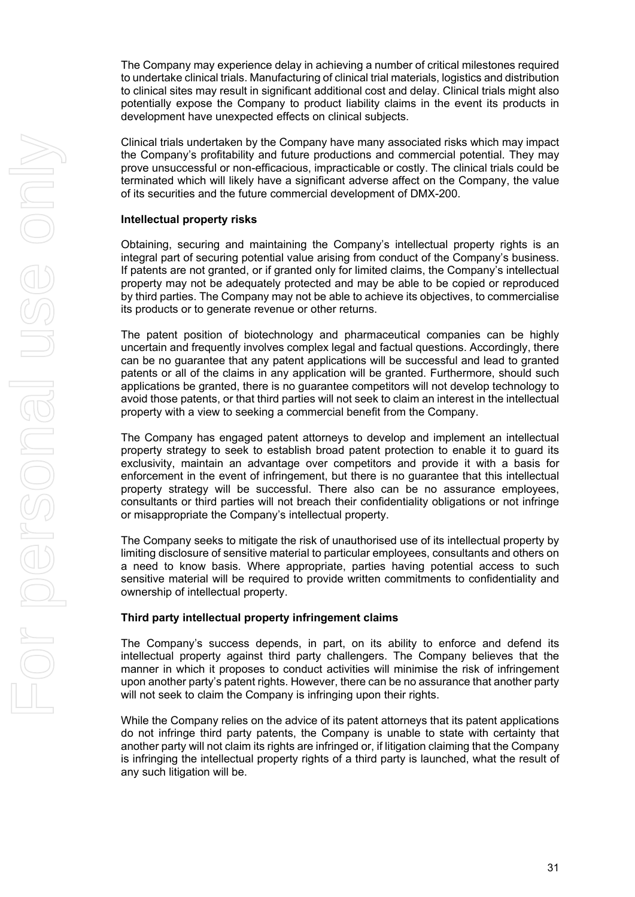The Company may experience delay in achieving a number of critical milestones required to undertake clinical trials. Manufacturing of clinical trial materials, logistics and distribution to clinical sites may result in significant additional cost and delay. Clinical trials might also potentially expose the Company to product liability claims in the event its products in development have unexpected effects on clinical subjects.

Clinical trials undertaken by the Company have many associated risks which may impact the Company's profitability and future productions and commercial potential. They may prove unsuccessful or non-efficacious, impracticable or costly. The clinical trials could be terminated which will likely have a significant adverse affect on the Company, the value of its securities and the future commercial development of DMX-200.

#### **Intellectual property risks**

Obtaining, securing and maintaining the Company's intellectual property rights is an integral part of securing potential value arising from conduct of the Company's business. If patents are not granted, or if granted only for limited claims, the Company's intellectual property may not be adequately protected and may be able to be copied or reproduced by third parties. The Company may not be able to achieve its objectives, to commercialise its products or to generate revenue or other returns.

The patent position of biotechnology and pharmaceutical companies can be highly uncertain and frequently involves complex legal and factual questions. Accordingly, there can be no guarantee that any patent applications will be successful and lead to granted patents or all of the claims in any application will be granted. Furthermore, should such applications be granted, there is no guarantee competitors will not develop technology to avoid those patents, or that third parties will not seek to claim an interest in the intellectual property with a view to seeking a commercial benefit from the Company.

The Company has engaged patent attorneys to develop and implement an intellectual property strategy to seek to establish broad patent protection to enable it to guard its exclusivity, maintain an advantage over competitors and provide it with a basis for enforcement in the event of infringement, but there is no guarantee that this intellectual property strategy will be successful. There also can be no assurance employees, consultants or third parties will not breach their confidentiality obligations or not infringe or misappropriate the Company's intellectual property.

The Company seeks to mitigate the risk of unauthorised use of its intellectual property by limiting disclosure of sensitive material to particular employees, consultants and others on a need to know basis. Where appropriate, parties having potential access to such sensitive material will be required to provide written commitments to confidentiality and ownership of intellectual property.

#### **Third party intellectual property infringement claims**

The Company's success depends, in part, on its ability to enforce and defend its intellectual property against third party challengers. The Company believes that the manner in which it proposes to conduct activities will minimise the risk of infringement upon another party's patent rights. However, there can be no assurance that another party will not seek to claim the Company is infringing upon their rights.

While the Company relies on the advice of its patent attorneys that its patent applications do not infringe third party patents, the Company is unable to state with certainty that another party will not claim its rights are infringed or, if litigation claiming that the Company is infringing the intellectual property rights of a third party is launched, what the result of any such litigation will be.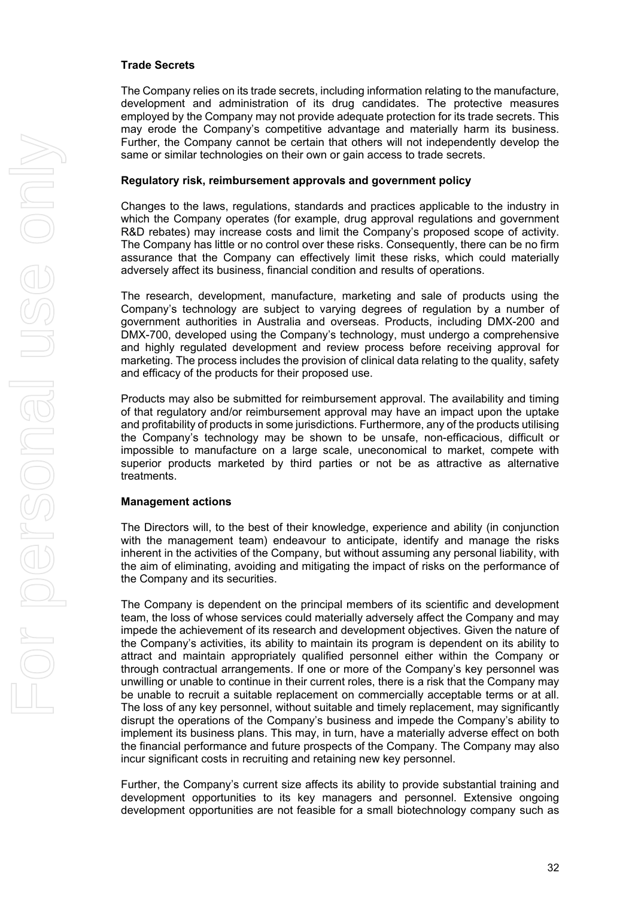#### **Trade Secrets**

The Company relies on its trade secrets, including information relating to the manufacture, development and administration of its drug candidates. The protective measures employed by the Company may not provide adequate protection for its trade secrets. This may erode the Company's competitive advantage and materially harm its business. Further, the Company cannot be certain that others will not independently develop the same or similar technologies on their own or gain access to trade secrets.

#### **Regulatory risk, reimbursement approvals and government policy**

Changes to the laws, regulations, standards and practices applicable to the industry in which the Company operates (for example, drug approval regulations and government R&D rebates) may increase costs and limit the Company's proposed scope of activity. The Company has little or no control over these risks. Consequently, there can be no firm assurance that the Company can effectively limit these risks, which could materially adversely affect its business, financial condition and results of operations.

The research, development, manufacture, marketing and sale of products using the Company's technology are subject to varying degrees of regulation by a number of government authorities in Australia and overseas. Products, including DMX-200 and DMX-700, developed using the Company's technology, must undergo a comprehensive and highly regulated development and review process before receiving approval for marketing. The process includes the provision of clinical data relating to the quality, safety and efficacy of the products for their proposed use.

Products may also be submitted for reimbursement approval. The availability and timing of that regulatory and/or reimbursement approval may have an impact upon the uptake and profitability of products in some jurisdictions. Furthermore, any of the products utilising the Company's technology may be shown to be unsafe, non-efficacious, difficult or impossible to manufacture on a large scale, uneconomical to market, compete with superior products marketed by third parties or not be as attractive as alternative treatments.

#### **Management actions**

The Directors will, to the best of their knowledge, experience and ability (in conjunction with the management team) endeavour to anticipate, identify and manage the risks inherent in the activities of the Company, but without assuming any personal liability, with the aim of eliminating, avoiding and mitigating the impact of risks on the performance of the Company and its securities.

The Company is dependent on the principal members of its scientific and development team, the loss of whose services could materially adversely affect the Company and may impede the achievement of its research and development objectives. Given the nature of the Company's activities, its ability to maintain its program is dependent on its ability to attract and maintain appropriately qualified personnel either within the Company or through contractual arrangements. If one or more of the Company's key personnel was unwilling or unable to continue in their current roles, there is a risk that the Company may be unable to recruit a suitable replacement on commercially acceptable terms or at all. The loss of any key personnel, without suitable and timely replacement, may significantly disrupt the operations of the Company's business and impede the Company's ability to implement its business plans. This may, in turn, have a materially adverse effect on both the financial performance and future prospects of the Company. The Company may also incur significant costs in recruiting and retaining new key personnel.

Further, the Company's current size affects its ability to provide substantial training and development opportunities to its key managers and personnel. Extensive ongoing development opportunities are not feasible for a small biotechnology company such as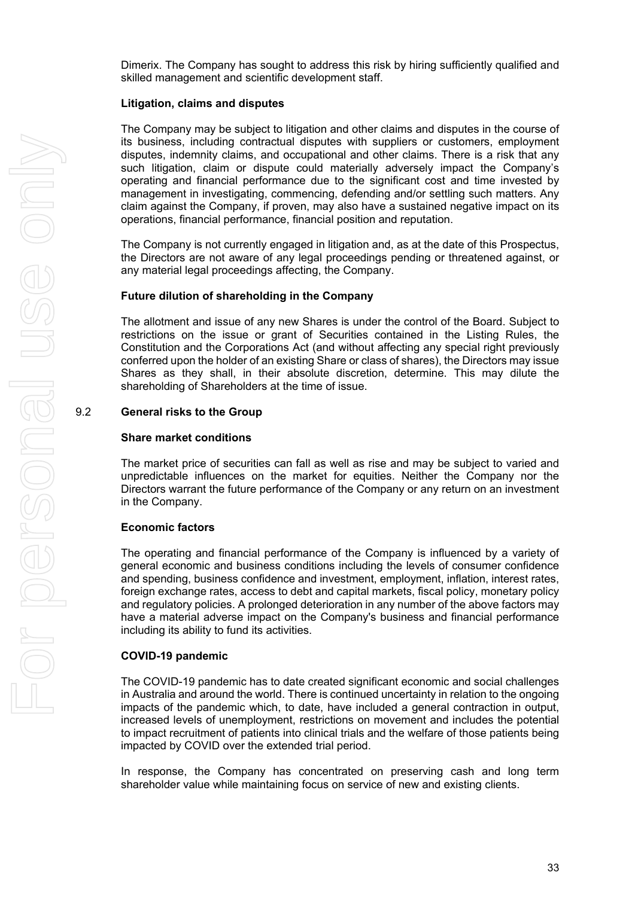Dimerix. The Company has sought to address this risk by hiring sufficiently qualified and skilled management and scientific development staff.

#### **Litigation, claims and disputes**

The Company may be subject to litigation and other claims and disputes in the course of its business, including contractual disputes with suppliers or customers, employment disputes, indemnity claims, and occupational and other claims. There is a risk that any such litigation, claim or dispute could materially adversely impact the Company's operating and financial performance due to the significant cost and time invested by management in investigating, commencing, defending and/or settling such matters. Any claim against the Company, if proven, may also have a sustained negative impact on its operations, financial performance, financial position and reputation.

The Company is not currently engaged in litigation and, as at the date of this Prospectus, the Directors are not aware of any legal proceedings pending or threatened against, or any material legal proceedings affecting, the Company.

#### **Future dilution of shareholding in the Company**

The allotment and issue of any new Shares is under the control of the Board. Subject to restrictions on the issue or grant of Securities contained in the Listing Rules, the Constitution and the Corporations Act (and without affecting any special right previously conferred upon the holder of an existing Share or class of shares), the Directors may issue Shares as they shall, in their absolute discretion, determine. This may dilute the shareholding of Shareholders at the time of issue.

#### 9.2 **General risks to the Group**

#### **Share market conditions**

The market price of securities can fall as well as rise and may be subject to varied and unpredictable influences on the market for equities. Neither the Company nor the Directors warrant the future performance of the Company or any return on an investment in the Company.

#### **Economic factors**

The operating and financial performance of the Company is influenced by a variety of general economic and business conditions including the levels of consumer confidence and spending, business confidence and investment, employment, inflation, interest rates, foreign exchange rates, access to debt and capital markets, fiscal policy, monetary policy and regulatory policies. A prolonged deterioration in any number of the above factors may have a material adverse impact on the Company's business and financial performance including its ability to fund its activities.

#### **COVID-19 pandemic**

The COVID-19 pandemic has to date created significant economic and social challenges in Australia and around the world. There is continued uncertainty in relation to the ongoing impacts of the pandemic which, to date, have included a general contraction in output, increased levels of unemployment, restrictions on movement and includes the potential to impact recruitment of patients into clinical trials and the welfare of those patients being impacted by COVID over the extended trial period.

In response, the Company has concentrated on preserving cash and long term shareholder value while maintaining focus on service of new and existing clients.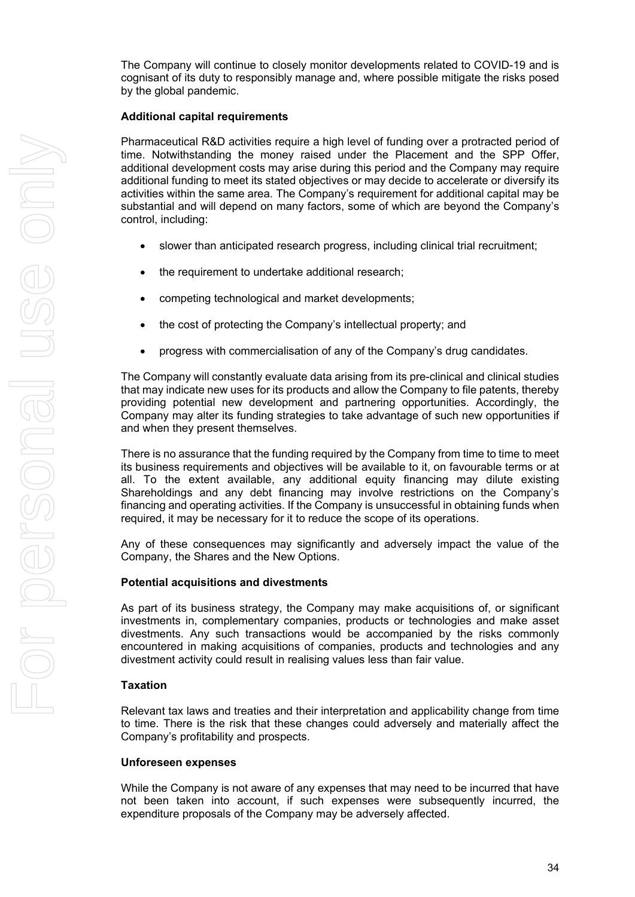The Company will continue to closely monitor developments related to COVID-19 and is cognisant of its duty to responsibly manage and, where possible mitigate the risks posed by the global pandemic.

#### **Additional capital requirements**

Pharmaceutical R&D activities require a high level of funding over a protracted period of time. Notwithstanding the money raised under the Placement and the SPP Offer, additional development costs may arise during this period and the Company may require additional funding to meet its stated objectives or may decide to accelerate or diversify its activities within the same area. The Company's requirement for additional capital may be substantial and will depend on many factors, some of which are beyond the Company's control, including:

- slower than anticipated research progress, including clinical trial recruitment;
- the requirement to undertake additional research;
- competing technological and market developments;
- the cost of protecting the Company's intellectual property; and
- progress with commercialisation of any of the Company's drug candidates.

The Company will constantly evaluate data arising from its pre-clinical and clinical studies that may indicate new uses for its products and allow the Company to file patents, thereby providing potential new development and partnering opportunities. Accordingly, the Company may alter its funding strategies to take advantage of such new opportunities if and when they present themselves.

There is no assurance that the funding required by the Company from time to time to meet its business requirements and objectives will be available to it, on favourable terms or at all. To the extent available, any additional equity financing may dilute existing Shareholdings and any debt financing may involve restrictions on the Company's financing and operating activities. If the Company is unsuccessful in obtaining funds when required, it may be necessary for it to reduce the scope of its operations.

Any of these consequences may significantly and adversely impact the value of the Company, the Shares and the New Options.

#### **Potential acquisitions and divestments**

As part of its business strategy, the Company may make acquisitions of, or significant investments in, complementary companies, products or technologies and make asset divestments. Any such transactions would be accompanied by the risks commonly encountered in making acquisitions of companies, products and technologies and any divestment activity could result in realising values less than fair value.

#### **Taxation**

Relevant tax laws and treaties and their interpretation and applicability change from time to time. There is the risk that these changes could adversely and materially affect the Company's profitability and prospects.

#### **Unforeseen expenses**

While the Company is not aware of any expenses that may need to be incurred that have not been taken into account, if such expenses were subsequently incurred, the expenditure proposals of the Company may be adversely affected.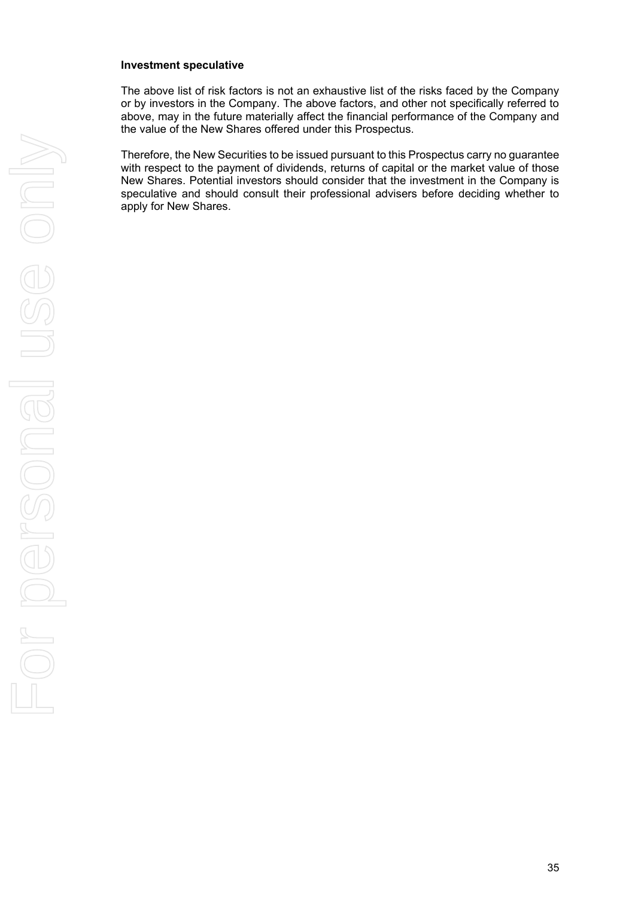#### **Investment speculative**

The above list of risk factors is not an exhaustive list of the risks faced by the Company or by investors in the Company. The above factors, and other not specifically referred to above, may in the future materially affect the financial performance of the Company and the value of the New Shares offered under this Prospectus.

Therefore, the New Securities to be issued pursuant to this Prospectus carry no guarantee with respect to the payment of dividends, returns of capital or the market value of those New Shares. Potential investors should consider that the investment in the Company is speculative and should consult their professional advisers before deciding whether to apply for New Shares.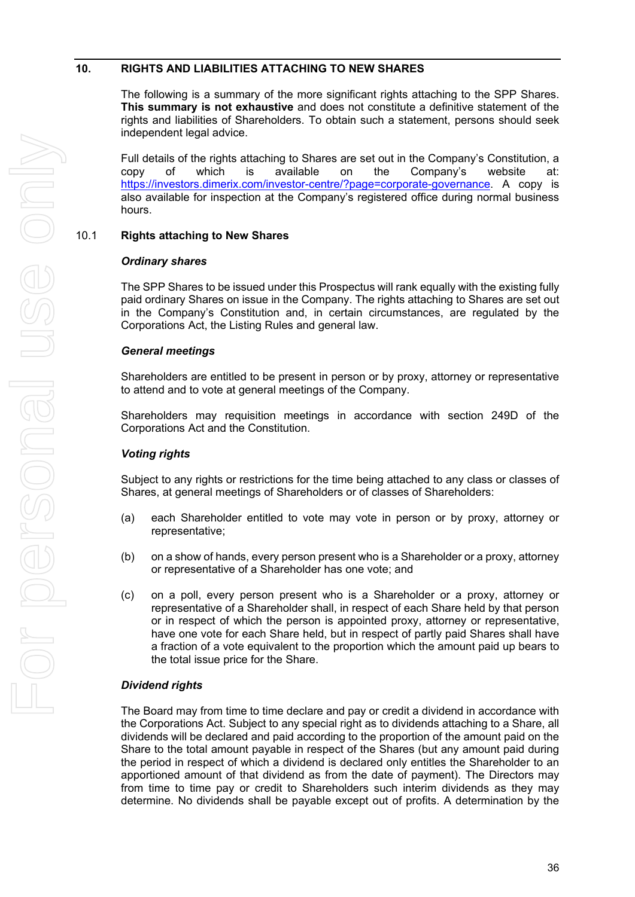#### <span id="page-37-0"></span>**10. RIGHTS AND LIABILITIES ATTACHING TO NEW SHARES**

The following is a summary of the more significant rights attaching to the SPP Shares. **This summary is not exhaustive** and does not constitute a definitive statement of the rights and liabilities of Shareholders. To obtain such a statement, persons should seek independent legal advice.

Full details of the rights attaching to Shares are set out in the Company's Constitution, a copy of which is available on the Company's website at: [https://investors.dimerix.com/investor-centre/?page=corporate-governance.](https://investors.dimerix.com/investor-centre/?page=corporate-governance) A copy is also available for inspection at the Company's registered office during normal business hours.

#### 10.1 **Rights attaching to New Shares**

#### *Ordinary shares*

The SPP Shares to be issued under this Prospectus will rank equally with the existing fully paid ordinary Shares on issue in the Company. The rights attaching to Shares are set out in the Company's Constitution and, in certain circumstances, are regulated by the Corporations Act, the Listing Rules and general law.

#### *General meetings*

Shareholders are entitled to be present in person or by proxy, attorney or representative to attend and to vote at general meetings of the Company.

Shareholders may requisition meetings in accordance with section 249D of the Corporations Act and the Constitution.

#### *Voting rights*

Subject to any rights or restrictions for the time being attached to any class or classes of Shares, at general meetings of Shareholders or of classes of Shareholders:

- (a) each Shareholder entitled to vote may vote in person or by proxy, attorney or representative;
- (b) on a show of hands, every person present who is a Shareholder or a proxy, attorney or representative of a Shareholder has one vote; and
- (c) on a poll, every person present who is a Shareholder or a proxy, attorney or representative of a Shareholder shall, in respect of each Share held by that person or in respect of which the person is appointed proxy, attorney or representative, have one vote for each Share held, but in respect of partly paid Shares shall have a fraction of a vote equivalent to the proportion which the amount paid up bears to the total issue price for the Share.

#### *Dividend rights*

The Board may from time to time declare and pay or credit a dividend in accordance with the Corporations Act. Subject to any special right as to dividends attaching to a Share, all dividends will be declared and paid according to the proportion of the amount paid on the Share to the total amount payable in respect of the Shares (but any amount paid during the period in respect of which a dividend is declared only entitles the Shareholder to an apportioned amount of that dividend as from the date of payment). The Directors may from time to time pay or credit to Shareholders such interim dividends as they may determine. No dividends shall be payable except out of profits. A determination by the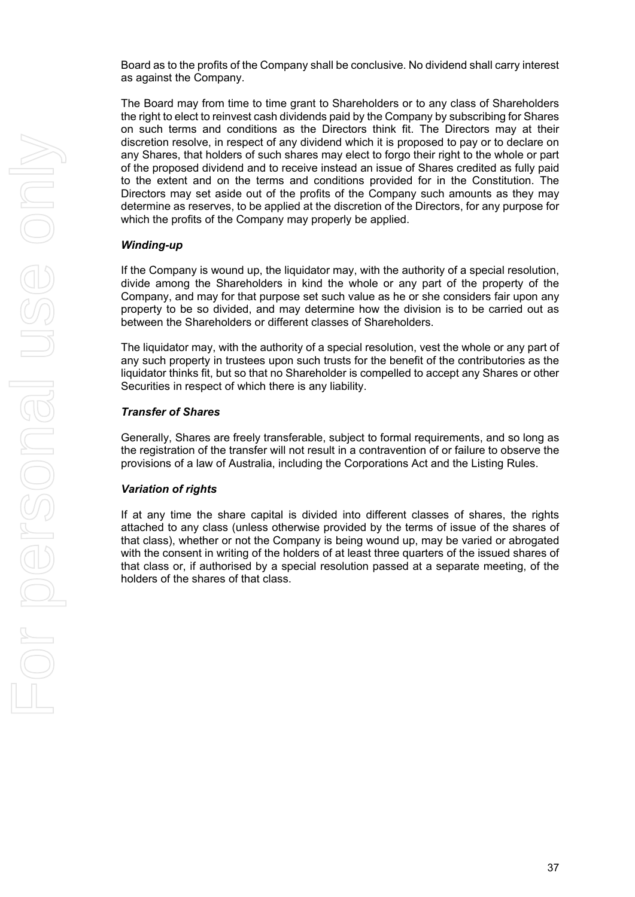Board as to the profits of the Company shall be conclusive. No dividend shall carry interest as against the Company.

The Board may from time to time grant to Shareholders or to any class of Shareholders the right to elect to reinvest cash dividends paid by the Company by subscribing for Shares on such terms and conditions as the Directors think fit. The Directors may at their discretion resolve, in respect of any dividend which it is proposed to pay or to declare on any Shares, that holders of such shares may elect to forgo their right to the whole or part of the proposed dividend and to receive instead an issue of Shares credited as fully paid to the extent and on the terms and conditions provided for in the Constitution. The Directors may set aside out of the profits of the Company such amounts as they may determine as reserves, to be applied at the discretion of the Directors, for any purpose for which the profits of the Company may properly be applied.

#### *Winding-up*

If the Company is wound up, the liquidator may, with the authority of a special resolution, divide among the Shareholders in kind the whole or any part of the property of the Company, and may for that purpose set such value as he or she considers fair upon any property to be so divided, and may determine how the division is to be carried out as between the Shareholders or different classes of Shareholders.

The liquidator may, with the authority of a special resolution, vest the whole or any part of any such property in trustees upon such trusts for the benefit of the contributories as the liquidator thinks fit, but so that no Shareholder is compelled to accept any Shares or other Securities in respect of which there is any liability.

#### *Transfer of Shares*

Generally, Shares are freely transferable, subject to formal requirements, and so long as the registration of the transfer will not result in a contravention of or failure to observe the provisions of a law of Australia, including the Corporations Act and the Listing Rules.

#### *Variation of rights*

If at any time the share capital is divided into different classes of shares, the rights attached to any class (unless otherwise provided by the terms of issue of the shares of that class), whether or not the Company is being wound up, may be varied or abrogated with the consent in writing of the holders of at least three quarters of the issued shares of that class or, if authorised by a special resolution passed at a separate meeting, of the holders of the shares of that class.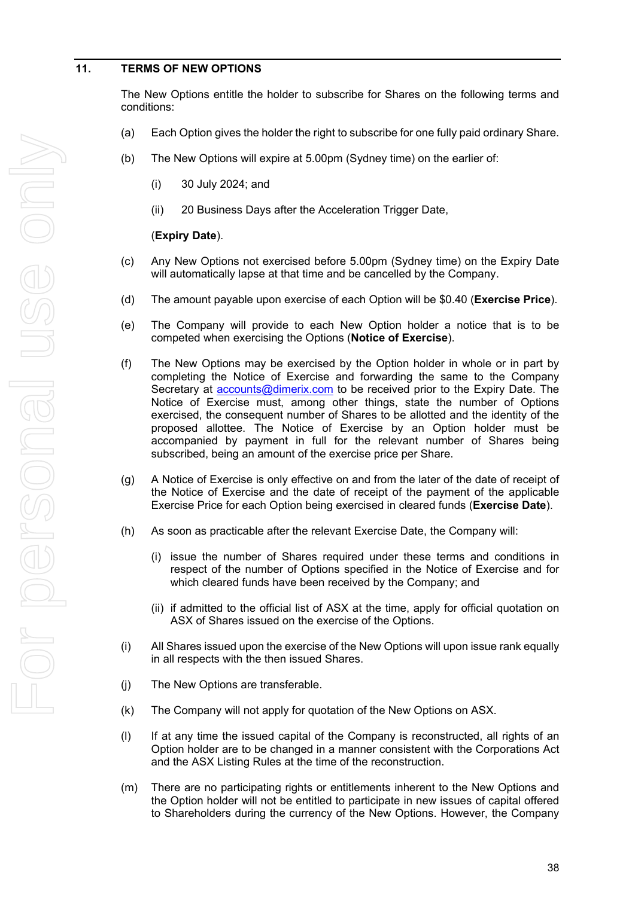#### <span id="page-39-0"></span>**11. TERMS OF NEW OPTIONS**

The New Options entitle the holder to subscribe for Shares on the following terms and conditions:

- (a) Each Option gives the holder the right to subscribe for one fully paid ordinary Share.
- (b) The New Options will expire at 5.00pm (Sydney time) on the earlier of:
	- (i) 30 July 2024; and
	- (ii) 20 Business Days after the Acceleration Trigger Date,

#### (**Expiry Date**).

- (c) Any New Options not exercised before 5.00pm (Sydney time) on the Expiry Date will automatically lapse at that time and be cancelled by the Company.
- (d) The amount payable upon exercise of each Option will be \$0.40 (**Exercise Price**).
- (e) The Company will provide to each New Option holder a notice that is to be competed when exercising the Options (**Notice of Exercise**).
- (f) The New Options may be exercised by the Option holder in whole or in part by completing the Notice of Exercise and forwarding the same to the Company Secretary at **accounts@dimerix.com** to be received prior to the Expiry Date. The Notice of Exercise must, among other things, state the number of Options exercised, the consequent number of Shares to be allotted and the identity of the proposed allottee. The Notice of Exercise by an Option holder must be accompanied by payment in full for the relevant number of Shares being subscribed, being an amount of the exercise price per Share.
- (g) A Notice of Exercise is only effective on and from the later of the date of receipt of the Notice of Exercise and the date of receipt of the payment of the applicable Exercise Price for each Option being exercised in cleared funds (**Exercise Date**).
- (h) As soon as practicable after the relevant Exercise Date, the Company will:
	- (i) issue the number of Shares required under these terms and conditions in respect of the number of Options specified in the Notice of Exercise and for which cleared funds have been received by the Company; and
	- (ii) if admitted to the official list of ASX at the time, apply for official quotation on ASX of Shares issued on the exercise of the Options.
- (i) All Shares issued upon the exercise of the New Options will upon issue rank equally in all respects with the then issued Shares.
- (j) The New Options are transferable.
- (k) The Company will not apply for quotation of the New Options on ASX.
- <span id="page-39-1"></span>(l) If at any time the issued capital of the Company is reconstructed, all rights of an Option holder are to be changed in a manner consistent with the Corporations Act and the ASX Listing Rules at the time of the reconstruction.
- (m) There are no participating rights or entitlements inherent to the New Options and the Option holder will not be entitled to participate in new issues of capital offered to Shareholders during the currency of the New Options. However, the Company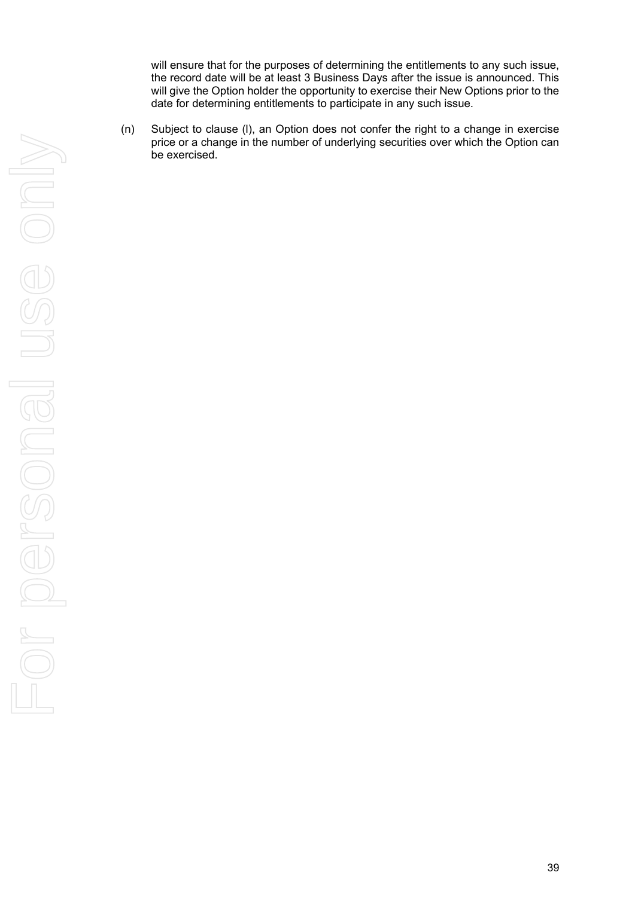will ensure that for the purposes of determining the entitlements to any such issue, the record date will be at least 3 Business Days after the issue is announced. This will give the Option holder the opportunity to exercise their New Options prior to the date for determining entitlements to participate in any such issue.

(n) Subject to clause [\(l\),](#page-39-1) an Option does not confer the right to a change in exercise price or a change in the number of underlying securities over which the Option can be exercised.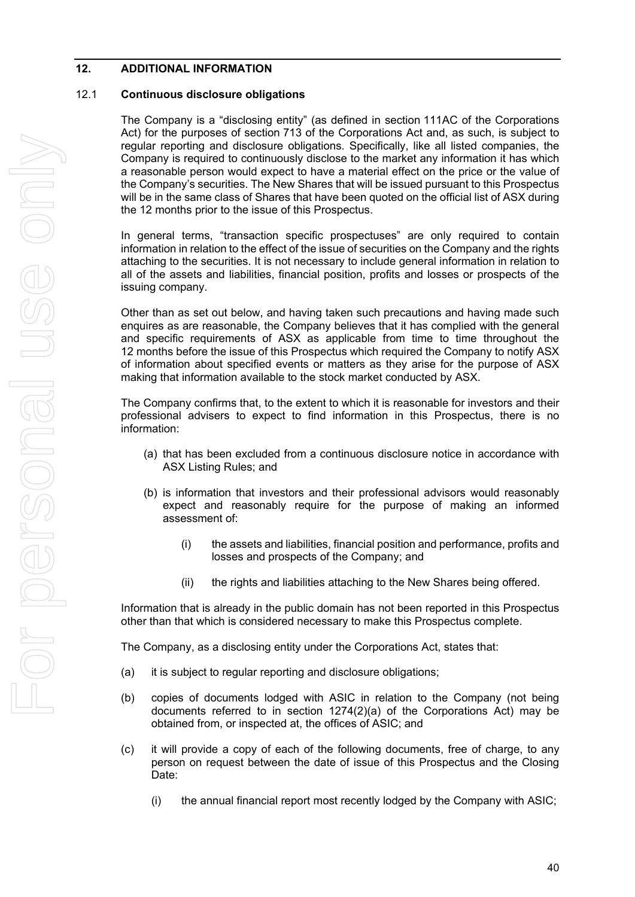#### **12. ADDITIONAL INFORMATION**

#### 12.1 **Continuous disclosure obligations**

The Company is a "disclosing entity" (as defined in section 111AC of the Corporations Act) for the purposes of section 713 of the Corporations Act and, as such, is subject to regular reporting and disclosure obligations. Specifically, like all listed companies, the Company is required to continuously disclose to the market any information it has which a reasonable person would expect to have a material effect on the price or the value of the Company's securities. The New Shares that will be issued pursuant to this Prospectus will be in the same class of Shares that have been quoted on the official list of ASX during the 12 months prior to the issue of this Prospectus.

In general terms, "transaction specific prospectuses" are only required to contain information in relation to the effect of the issue of securities on the Company and the rights attaching to the securities. It is not necessary to include general information in relation to all of the assets and liabilities, financial position, profits and losses or prospects of the issuing company.

Other than as set out below, and having taken such precautions and having made such enquires as are reasonable, the Company believes that it has complied with the general and specific requirements of ASX as applicable from time to time throughout the 12 months before the issue of this Prospectus which required the Company to notify ASX of information about specified events or matters as they arise for the purpose of ASX making that information available to the stock market conducted by ASX.

The Company confirms that, to the extent to which it is reasonable for investors and their professional advisers to expect to find information in this Prospectus, there is no information:

- (a) that has been excluded from a continuous disclosure notice in accordance with ASX Listing Rules; and
- (b) is information that investors and their professional advisors would reasonably expect and reasonably require for the purpose of making an informed assessment of:
	- (i) the assets and liabilities, financial position and performance, profits and losses and prospects of the Company; and
	- (ii) the rights and liabilities attaching to the New Shares being offered.

Information that is already in the public domain has not been reported in this Prospectus other than that which is considered necessary to make this Prospectus complete.

The Company, as a disclosing entity under the Corporations Act, states that:

- (a) it is subject to regular reporting and disclosure obligations;
- (b) copies of documents lodged with ASIC in relation to the Company (not being documents referred to in section  $1274(2)(a)$  of the Corporations Act) may be obtained from, or inspected at, the offices of ASIC; and
- (c) it will provide a copy of each of the following documents, free of charge, to any person on request between the date of issue of this Prospectus and the Closing Date:
	- (i) the annual financial report most recently lodged by the Company with ASIC;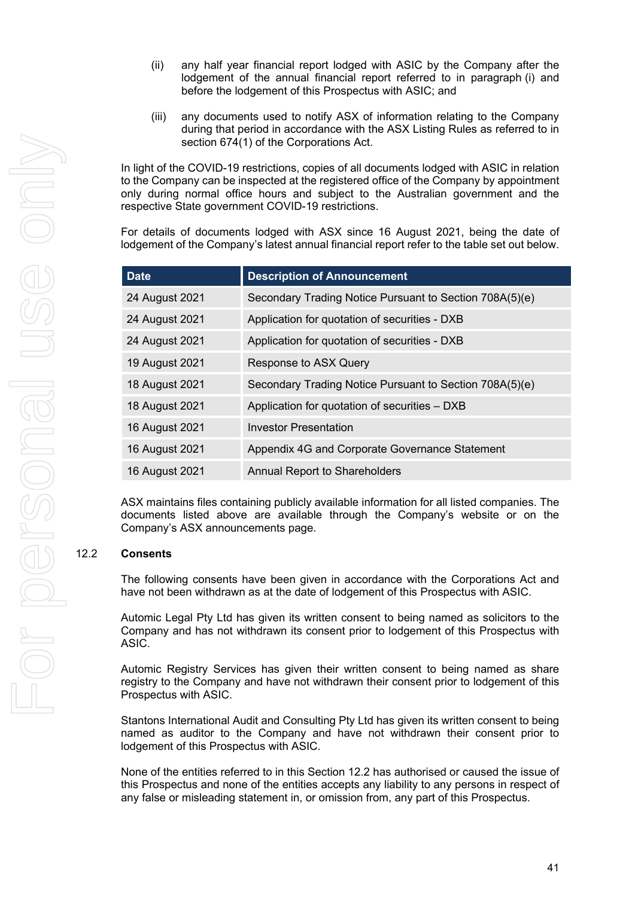- (ii) any half year financial report lodged with ASIC by the Company after the lodgement of the annual financial report referred to in paragraph (i) and before the lodgement of this Prospectus with ASIC; and
- (iii) any documents used to notify ASX of information relating to the Company during that period in accordance with the ASX Listing Rules as referred to in section 674(1) of the Corporations Act.

In light of the COVID-19 restrictions, copies of all documents lodged with ASIC in relation to the Company can be inspected at the registered office of the Company by appointment only during normal office hours and subject to the Australian government and the respective State government COVID-19 restrictions.

For details of documents lodged with ASX since 16 August 2021, being the date of lodgement of the Company's latest annual financial report refer to the table set out below.

| <b>Date</b>    | <b>Description of Announcement</b>                      |
|----------------|---------------------------------------------------------|
| 24 August 2021 | Secondary Trading Notice Pursuant to Section 708A(5)(e) |
| 24 August 2021 | Application for quotation of securities - DXB           |
| 24 August 2021 | Application for quotation of securities - DXB           |
| 19 August 2021 | Response to ASX Query                                   |
| 18 August 2021 | Secondary Trading Notice Pursuant to Section 708A(5)(e) |
| 18 August 2021 | Application for quotation of securities - DXB           |
| 16 August 2021 | <b>Investor Presentation</b>                            |
| 16 August 2021 | Appendix 4G and Corporate Governance Statement          |
| 16 August 2021 | <b>Annual Report to Shareholders</b>                    |

ASX maintains files containing publicly available information for all listed companies. The documents listed above are available through the Company's website or on the Company's ASX announcements page.

#### <span id="page-42-0"></span>12.2 **Consents**

The following consents have been given in accordance with the Corporations Act and have not been withdrawn as at the date of lodgement of this Prospectus with ASIC.

Automic Legal Pty Ltd has given its written consent to being named as solicitors to the Company and has not withdrawn its consent prior to lodgement of this Prospectus with ASIC.

Automic Registry Services has given their written consent to being named as share registry to the Company and have not withdrawn their consent prior to lodgement of this Prospectus with ASIC.

Stantons International Audit and Consulting Pty Ltd has given its written consent to being named as auditor to the Company and have not withdrawn their consent prior to lodgement of this Prospectus with ASIC.

None of the entities referred to in this Section [12.2](#page-42-0) has authorised or caused the issue of this Prospectus and none of the entities accepts any liability to any persons in respect of any false or misleading statement in, or omission from, any part of this Prospectus.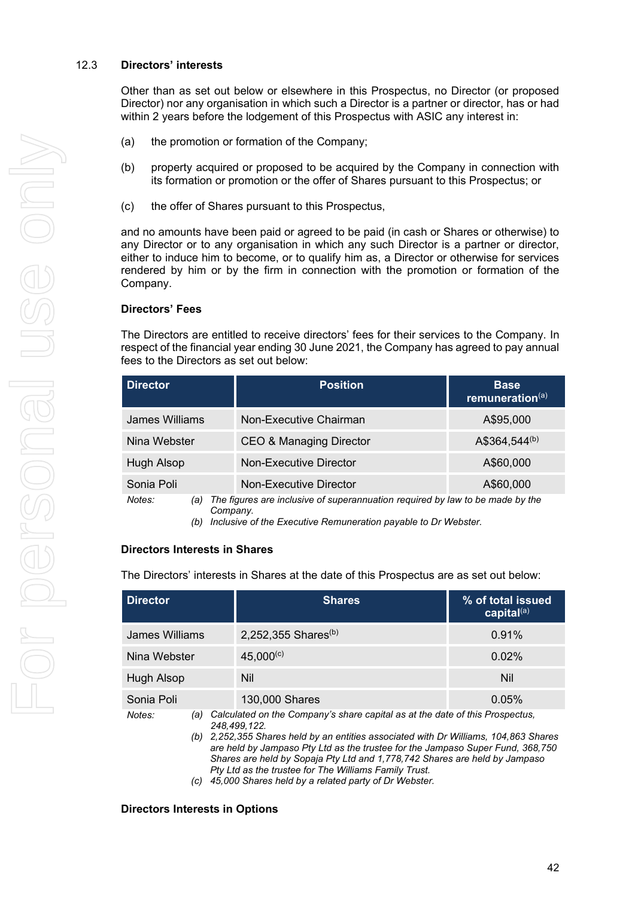#### 12.3 **Directors' interests**

Other than as set out below or elsewhere in this Prospectus, no Director (or proposed Director) nor any organisation in which such a Director is a partner or director, has or had within 2 years before the lodgement of this Prospectus with ASIC any interest in:

- (a) the promotion or formation of the Company;
- (b) property acquired or proposed to be acquired by the Company in connection with its formation or promotion or the offer of Shares pursuant to this Prospectus; or
- (c) the offer of Shares pursuant to this Prospectus,

and no amounts have been paid or agreed to be paid (in cash or Shares or otherwise) to any Director or to any organisation in which any such Director is a partner or director, either to induce him to become, or to qualify him as, a Director or otherwise for services rendered by him or by the firm in connection with the promotion or formation of the Company.

#### **Directors' Fees**

The Directors are entitled to receive directors' fees for their services to the Company. In respect of the financial year ending 30 June 2021, the Company has agreed to pay annual fees to the Directors as set out below:

| <b>Director</b>              | <b>Position</b>                                                               | <b>Base</b><br>remuneration(a) |
|------------------------------|-------------------------------------------------------------------------------|--------------------------------|
| James Williams               | Non-Executive Chairman                                                        | A\$95,000                      |
| Nina Webster                 | <b>CEO &amp; Managing Director</b>                                            | A\$364,544(b)                  |
| Hugh Alsop                   | Non-Executive Director                                                        | A\$60,000                      |
| Sonia Poli                   | Non-Executive Director                                                        | A\$60,000                      |
| $M$ otas <sup>.</sup><br>(۵۱ | The figures are inclusive of superannuation required by law to be made by the |                                |

*Notes: (a) The figures are inclusive of superannuation required by law to be made by the Company.*

*(b) Inclusive of the Executive Remuneration payable to Dr Webster.*

#### **Directors Interests in Shares**

The Directors' interests in Shares at the date of this Prospectus are as set out below:

| <b>Director</b>             | <b>Shares</b>                   | % of total issued<br>capital $(a)$                                                                                                                              |  |
|-----------------------------|---------------------------------|-----------------------------------------------------------------------------------------------------------------------------------------------------------------|--|
| James Williams              | 2,252,355 Shares <sup>(b)</sup> | 0.91%                                                                                                                                                           |  |
| Nina Webster                | $45,000^{(c)}$                  | 0.02%                                                                                                                                                           |  |
| Hugh Alsop                  | Nil                             | <b>Nil</b>                                                                                                                                                      |  |
| Sonia Poli                  | 130,000 Shares                  | 0.05%                                                                                                                                                           |  |
| Notes:<br>(a)<br>$\sqrt{2}$ | 248,499,122.                    | Calculated on the Company's share capital as at the date of this Prospectus,<br>0.050.055 Charge hald by an antitian according with Dr Williams, 101.069 Charge |  |

*(b) 2,252,355 Shares held by an entities associated with Dr Williams, 104,863 Shares are held by Jampaso Pty Ltd as the trustee for the Jampaso Super Fund, 368,750 Shares are held by Sopaja Pty Ltd and 1,778,742 Shares are held by Jampaso Pty Ltd as the trustee for The Williams Family Trust.*

*(c) 45,000 Shares held by a related party of Dr Webster.*

#### **Directors Interests in Options**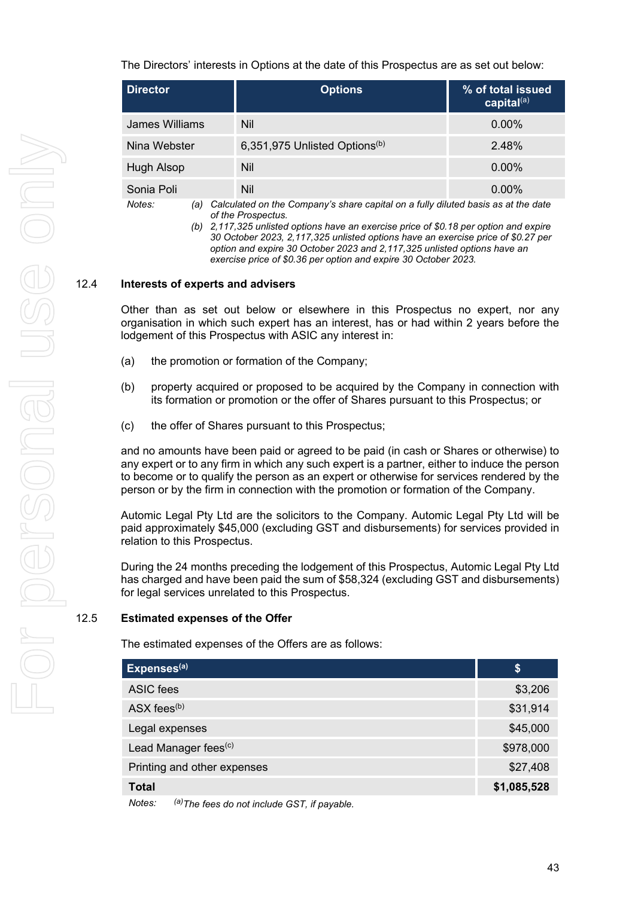The Directors' interests in Options at the date of this Prospectus are as set out below:

| <b>Director</b> | <b>Options</b>                            | % of total issued<br>capital $(a)$ |
|-----------------|-------------------------------------------|------------------------------------|
| James Williams  | Nil                                       | $0.00\%$                           |
| Nina Webster    | 6,351,975 Unlisted Options <sup>(b)</sup> | 2.48%                              |
| Hugh Alsop      | Nil                                       | $0.00\%$                           |
| Sonia Poli      | Nil                                       | $0.00\%$                           |

*Notes: (a) Calculated on the Company's share capital on a fully diluted basis as at the date of the Prospectus.*

*(b) 2,117,325 unlisted options have an exercise price of \$0.18 per option and expire 30 October 2023, 2,117,325 unlisted options have an exercise price of \$0.27 per option and expire 30 October 2023 and 2,117,325 unlisted options have an exercise price of \$0.36 per option and expire 30 October 2023.*

#### 12.4 **Interests of experts and advisers**

Other than as set out below or elsewhere in this Prospectus no expert, nor any organisation in which such expert has an interest, has or had within 2 years before the lodgement of this Prospectus with ASIC any interest in:

- (a) the promotion or formation of the Company;
- (b) property acquired or proposed to be acquired by the Company in connection with its formation or promotion or the offer of Shares pursuant to this Prospectus; or
- (c) the offer of Shares pursuant to this Prospectus;

and no amounts have been paid or agreed to be paid (in cash or Shares or otherwise) to any expert or to any firm in which any such expert is a partner, either to induce the person to become or to qualify the person as an expert or otherwise for services rendered by the person or by the firm in connection with the promotion or formation of the Company.

Automic Legal Pty Ltd are the solicitors to the Company. Automic Legal Pty Ltd will be paid approximately \$45,000 (excluding GST and disbursements) for services provided in relation to this Prospectus.

During the 24 months preceding the lodgement of this Prospectus, Automic Legal Pty Ltd has charged and have been paid the sum of \$58,324 (excluding GST and disbursements) for legal services unrelated to this Prospectus.

#### 12.5 **Estimated expenses of the Offer**

The estimated expenses of the Offers are as follows:

| Expenses <sup>(a)</sup>                                                                                                                                                                                                                                                                                                                                     | \$          |
|-------------------------------------------------------------------------------------------------------------------------------------------------------------------------------------------------------------------------------------------------------------------------------------------------------------------------------------------------------------|-------------|
| ASIC fees                                                                                                                                                                                                                                                                                                                                                   | \$3,206     |
| ASX fees <sup>(b)</sup>                                                                                                                                                                                                                                                                                                                                     | \$31,914    |
| Legal expenses                                                                                                                                                                                                                                                                                                                                              | \$45,000    |
| Lead Manager fees <sup>(c)</sup>                                                                                                                                                                                                                                                                                                                            | \$978,000   |
| Printing and other expenses                                                                                                                                                                                                                                                                                                                                 | \$27,408    |
| <b>Total</b>                                                                                                                                                                                                                                                                                                                                                | \$1,085,528 |
| $(n)$ $\qquad$<br>$\mathbf{A}$ . $\mathbf{A}$ . $\mathbf{A}$ . $\mathbf{A}$ . $\mathbf{A}$ . $\mathbf{A}$ . $\mathbf{A}$ . $\mathbf{A}$ . $\mathbf{A}$ . $\mathbf{A}$ . $\mathbf{A}$ . $\mathbf{A}$ . $\mathbf{A}$ . $\mathbf{A}$ . $\mathbf{A}$ . $\mathbf{A}$ . $\mathbf{A}$ . $\mathbf{A}$ . $\mathbf{A}$ . $\mathbf{A}$ . $\mathbf{A}$ . $\mathbf{A}$ . |             |

*Notes: (a)The fees do not include GST, if payable.*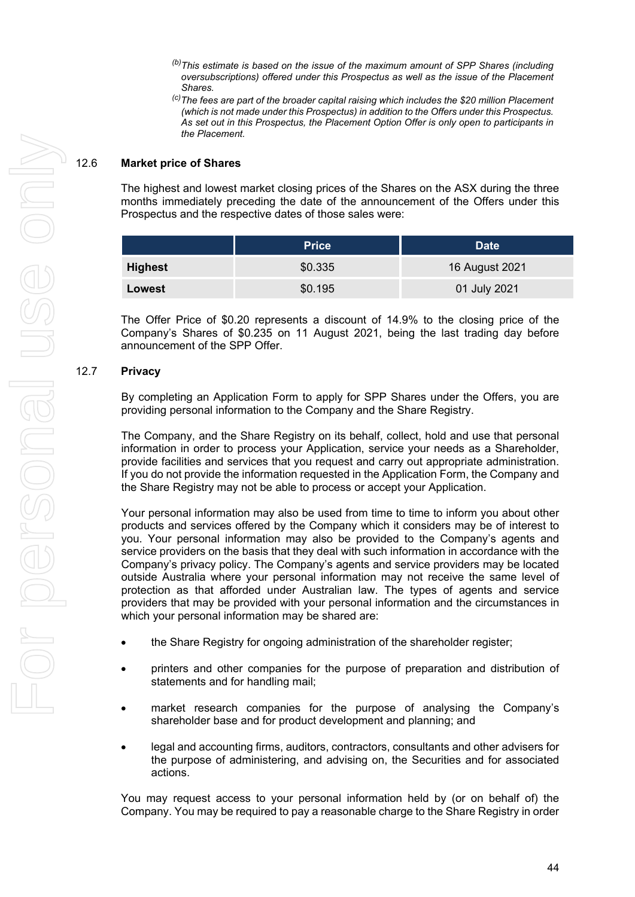- *(b)This estimate is based on the issue of the maximum amount of SPP Shares (including oversubscriptions) offered under this Prospectus as well as the issue of the Placement*
- <sup>(c)</sup>The fees are part of the broader capital raising which includes the \$20 million Placement *(which is not made under this Prospectus) in addition to the Offers under this Prospectus. As set out in this Prospectus, the Placement Option Offer is only open to participants in the Placement.*

#### 12.6 **Market price of Shares**

The highest and lowest market closing prices of the Shares on the ASX during the three months immediately preceding the date of the announcement of the Offers under this Prospectus and the respective dates of those sales were:

|                | <b>Price</b> | <b>Date</b>    |
|----------------|--------------|----------------|
| <b>Highest</b> | \$0.335      | 16 August 2021 |
| Lowest         | \$0.195      | 01 July 2021   |

The Offer Price of \$0.20 represents a discount of 14.9% to the closing price of the Company's Shares of \$0.235 on 11 August 2021, being the last trading day before announcement of the SPP Offer.

#### 12.7 **Privacy**

By completing an Application Form to apply for SPP Shares under the Offers, you are providing personal information to the Company and the Share Registry.

The Company, and the Share Registry on its behalf, collect, hold and use that personal information in order to process your Application, service your needs as a Shareholder, provide facilities and services that you request and carry out appropriate administration. If you do not provide the information requested in the Application Form, the Company and the Share Registry may not be able to process or accept your Application.

Your personal information may also be used from time to time to inform you about other products and services offered by the Company which it considers may be of interest to you. Your personal information may also be provided to the Company's agents and service providers on the basis that they deal with such information in accordance with the Company's privacy policy. The Company's agents and service providers may be located outside Australia where your personal information may not receive the same level of protection as that afforded under Australian law. The types of agents and service providers that may be provided with your personal information and the circumstances in which your personal information may be shared are:

- the Share Registry for ongoing administration of the shareholder register;
- printers and other companies for the purpose of preparation and distribution of statements and for handling mail;
- market research companies for the purpose of analysing the Company's shareholder base and for product development and planning; and
- legal and accounting firms, auditors, contractors, consultants and other advisers for the purpose of administering, and advising on, the Securities and for associated actions.

You may request access to your personal information held by (or on behalf of) the Company. You may be required to pay a reasonable charge to the Share Registry in order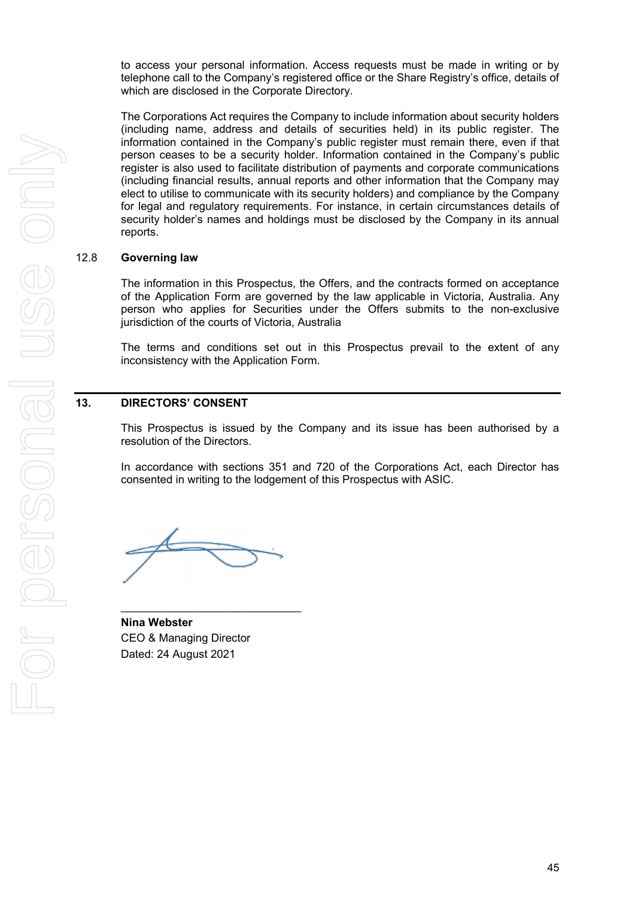to access your personal information. Access requests must be made in writing or by telephone call to the Company's registered office or the Share Registry's office, details of which are disclosed in the Corporate Directory.

The Corporations Act requires the Company to include information about security holders (including name, address and details of securities held) in its public register. The information contained in the Company's public register must remain there, even if that person ceases to be a security holder. Information contained in the Company's public register is also used to facilitate distribution of payments and corporate communications (including financial results, annual reports and other information that the Company may elect to utilise to communicate with its security holders) and compliance by the Company for legal and regulatory requirements. For instance, in certain circumstances details of security holder's names and holdings must be disclosed by the Company in its annual reports.

#### 12.8 **Governing law**

The information in this Prospectus, the Offers, and the contracts formed on acceptance of the Application Form are governed by the law applicable in Victoria, Australia. Any person who applies for Securities under the Offers submits to the non-exclusive jurisdiction of the courts of Victoria, Australia

The terms and conditions set out in this Prospectus prevail to the extent of any inconsistency with the Application Form.

#### **13. DIRECTORS' CONSENT**

This Prospectus is issued by the Company and its issue has been authorised by a resolution of the Directors.

In accordance with sections 351 and 720 of the Corporations Act, each Director has consented in writing to the lodgement of this Prospectus with ASIC.

\_\_\_\_\_\_\_\_\_\_\_\_\_\_\_\_\_\_\_\_\_\_\_\_\_\_\_\_\_

**Nina Webster**  CEO & Managing Director Dated: 24 August 2021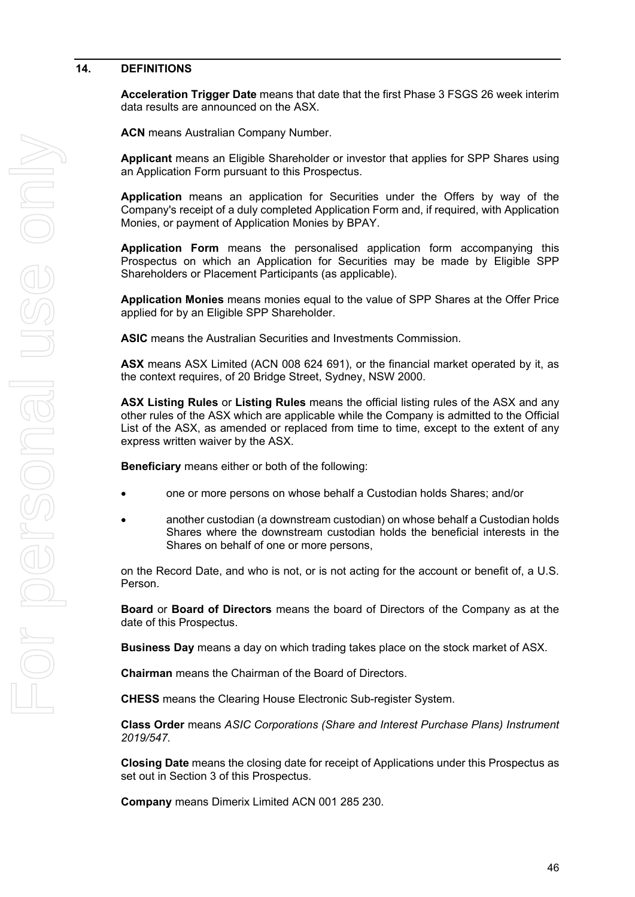#### <span id="page-47-0"></span>**14. DEFINITIONS**

**Acceleration Trigger Date** means that date that the first Phase 3 FSGS 26 week interim data results are announced on the ASX.

**ACN** means Australian Company Number.

**Applicant** means an Eligible Shareholder or investor that applies for SPP Shares using an Application Form pursuant to this Prospectus.

**Application** means an application for Securities under the Offers by way of the Company's receipt of a duly completed Application Form and, if required, with Application Monies, or payment of Application Monies by BPAY.

**Application Form** means the personalised application form accompanying this Prospectus on which an Application for Securities may be made by Eligible SPP Shareholders or Placement Participants (as applicable).

**Application Monies** means monies equal to the value of SPP Shares at the Offer Price applied for by an Eligible SPP Shareholder.

**ASIC** means the Australian Securities and Investments Commission.

**ASX** means ASX Limited (ACN 008 624 691), or the financial market operated by it, as the context requires, of 20 Bridge Street, Sydney, NSW 2000.

**ASX Listing Rules** or **Listing Rules** means the official listing rules of the ASX and any other rules of the ASX which are applicable while the Company is admitted to the Official List of the ASX, as amended or replaced from time to time, except to the extent of any express written waiver by the ASX.

**Beneficiary** means either or both of the following:

- one or more persons on whose behalf a Custodian holds Shares; and/or
- another custodian (a downstream custodian) on whose behalf a Custodian holds Shares where the downstream custodian holds the beneficial interests in the Shares on behalf of one or more persons,

on the Record Date, and who is not, or is not acting for the account or benefit of, a U.S. Person.

**Board** or **Board of Directors** means the board of Directors of the Company as at the date of this Prospectus.

**Business Day** means a day on which trading takes place on the stock market of ASX.

**Chairman** means the Chairman of the Board of Directors.

**CHESS** means the Clearing House Electronic Sub-register System.

**Class Order** means *ASIC Corporations (Share and Interest Purchase Plans) Instrument 2019/547.*

**Closing Date** means the closing date for receipt of Applications under this Prospectus as set out in Section [3](#page-6-0) of this Prospectus.

**Company** means Dimerix Limited ACN 001 285 230.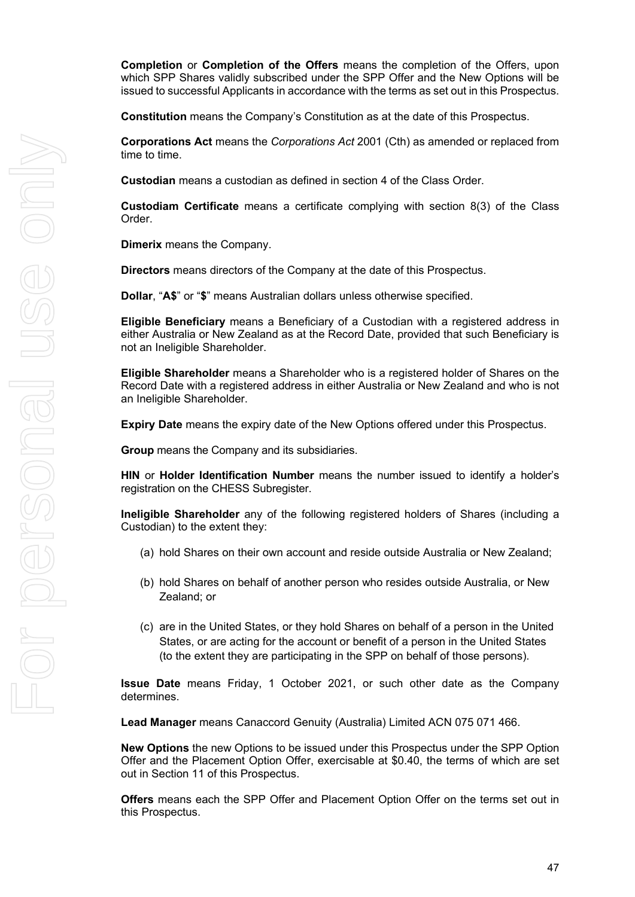**Completion** or **Completion of the Offers** means the completion of the Offers, upon which SPP Shares validly subscribed under the SPP Offer and the New Options will be issued to successful Applicants in accordance with the terms as set out in this Prospectus.

**Constitution** means the Company's Constitution as at the date of this Prospectus.

**Corporations Act** means the *Corporations Act* 2001 (Cth) as amended or replaced from time to time.

**Custodian** means a custodian as defined in section 4 of the Class Order.

**Custodiam Certificate** means a certificate complying with section 8(3) of the Class Order.

**Dimerix** means the Company.

**Directors** means directors of the Company at the date of this Prospectus.

**Dollar**, "**A\$**" or "**\$**" means Australian dollars unless otherwise specified.

**Eligible Beneficiary** means a Beneficiary of a Custodian with a registered address in either Australia or New Zealand as at the Record Date, provided that such Beneficiary is not an Ineligible Shareholder.

**Eligible Shareholder** means a Shareholder who is a registered holder of Shares on the Record Date with a registered address in either Australia or New Zealand and who is not an Ineligible Shareholder.

**Expiry Date** means the expiry date of the New Options offered under this Prospectus.

**Group** means the Company and its subsidiaries.

**HIN** or **Holder Identification Number** means the number issued to identify a holder's registration on the CHESS Subregister.

**Ineligible Shareholder** any of the following registered holders of Shares (including a Custodian) to the extent they:

- (a) hold Shares on their own account and reside outside Australia or New Zealand;
- (b) hold Shares on behalf of another person who resides outside Australia, or New Zealand; or
- (c) are in the United States, or they hold Shares on behalf of a person in the United States, or are acting for the account or benefit of a person in the United States (to the extent they are participating in the SPP on behalf of those persons).

**Issue Date** means Friday, 1 October 2021, or such other date as the Company determines.

**Lead Manager** means Canaccord Genuity (Australia) Limited ACN 075 071 466.

**New Options** the new Options to be issued under this Prospectus under the SPP Option Offer and the Placement Option Offer, exercisable at \$0.40, the terms of which are set out in Section [11](#page-39-0) of this Prospectus.

**Offers** means each the SPP Offer and Placement Option Offer on the terms set out in this Prospectus.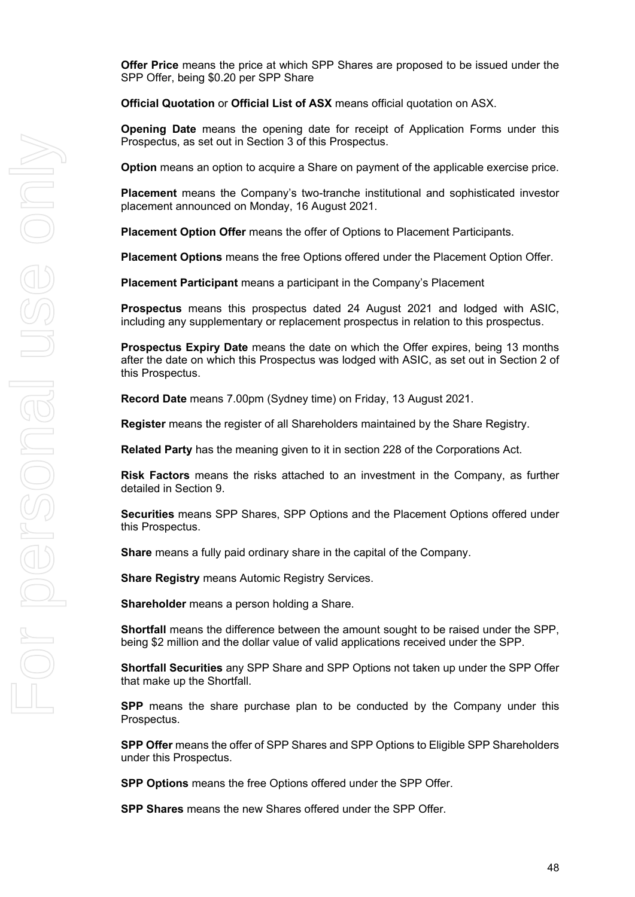**Offer Price** means the price at which SPP Shares are proposed to be issued under the SPP Offer, being \$0.20 per SPP Share

**Official Quotation** or **Official List of ASX** means official quotation on ASX.

**Opening Date** means the opening date for receipt of Application Forms under this Prospectus, as set out in Section [3](#page-6-0) of this Prospectus.

**Option** means an option to acquire a Share on payment of the applicable exercise price.

**Placement** means the Company's two-tranche institutional and sophisticated investor placement announced on Monday, 16 August 2021.

**Placement Option Offer** means the offer of Options to Placement Participants.

**Placement Options** means the free Options offered under the Placement Option Offer.

**Placement Participant** means a participant in the Company's Placement

**Prospectus** means this prospectus dated 24 August 2021 and lodged with ASIC, including any supplementary or replacement prospectus in relation to this prospectus.

**Prospectus Expiry Date** means the date on which the Offer expires, being 13 months after the date on which this Prospectus was lodged with ASIC, as set out in Section [2](#page-4-0) of this Prospectus.

**Record Date** means 7.00pm (Sydney time) on Friday, 13 August 2021.

**Register** means the register of all Shareholders maintained by the Share Registry.

**Related Party** has the meaning given to it in section 228 of the Corporations Act.

**Risk Factors** means the risks attached to an investment in the Company, as further detailed in Section [9.](#page-31-0)

**Securities** means SPP Shares, SPP Options and the Placement Options offered under this Prospectus.

**Share** means a fully paid ordinary share in the capital of the Company.

**Share Registry** means Automic Registry Services.

**Shareholder** means a person holding a Share.

**Shortfall** means the difference between the amount sought to be raised under the SPP, being \$2 million and the dollar value of valid applications received under the SPP.

**Shortfall Securities** any SPP Share and SPP Options not taken up under the SPP Offer that make up the Shortfall.

**SPP** means the share purchase plan to be conducted by the Company under this Prospectus.

**SPP Offer** means the offer of SPP Shares and SPP Options to Eligible SPP Shareholders under this Prospectus.

**SPP Options** means the free Options offered under the SPP Offer.

**SPP Shares** means the new Shares offered under the SPP Offer.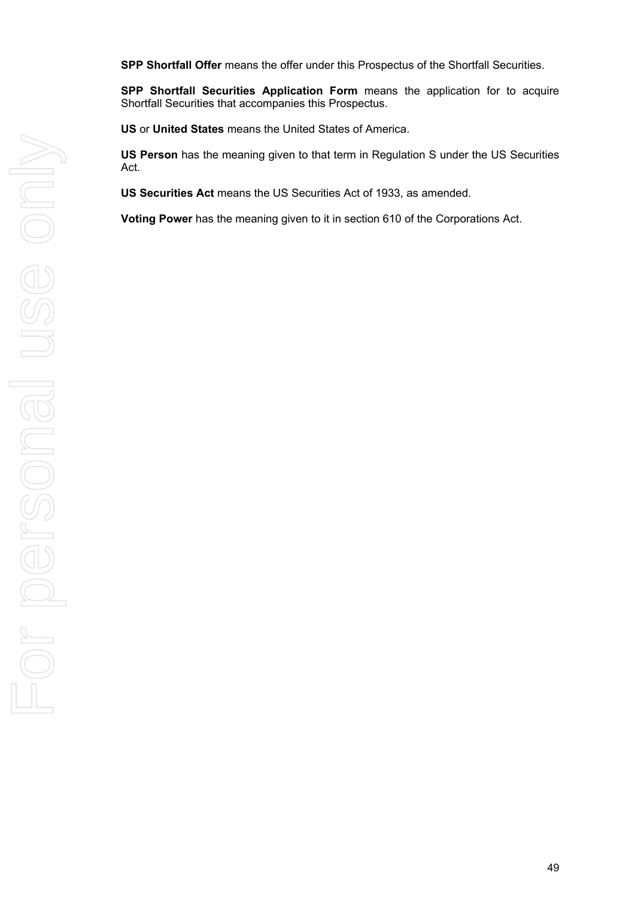**SPP Shortfall Offer** means the offer under this Prospectus of the Shortfall Securities.

**SPP Shortfall Securities Application Form** means the application for to acquire Shortfall Securities that accompanies this Prospectus.

**US** or **United States** means the United States of America.

**US Person** has the meaning given to that term in Regulation S under the US Securities Act.

**US Securities Act** means the US Securities Act of 1933, as amended.

**Voting Power** has the meaning given to it in section 610 of the Corporations Act.